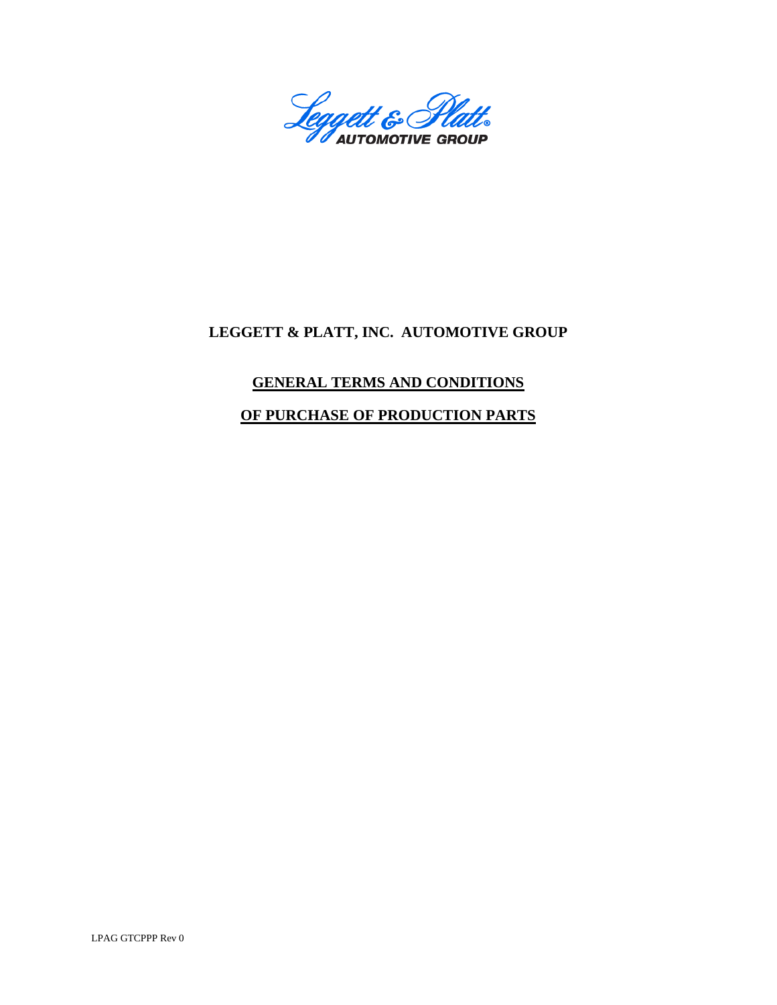

# **LEGGETT & PLATT, INC. AUTOMOTIVE GROUP**

## **GENERAL TERMS AND CONDITIONS**

## **OF PURCHASE OF PRODUCTION PARTS**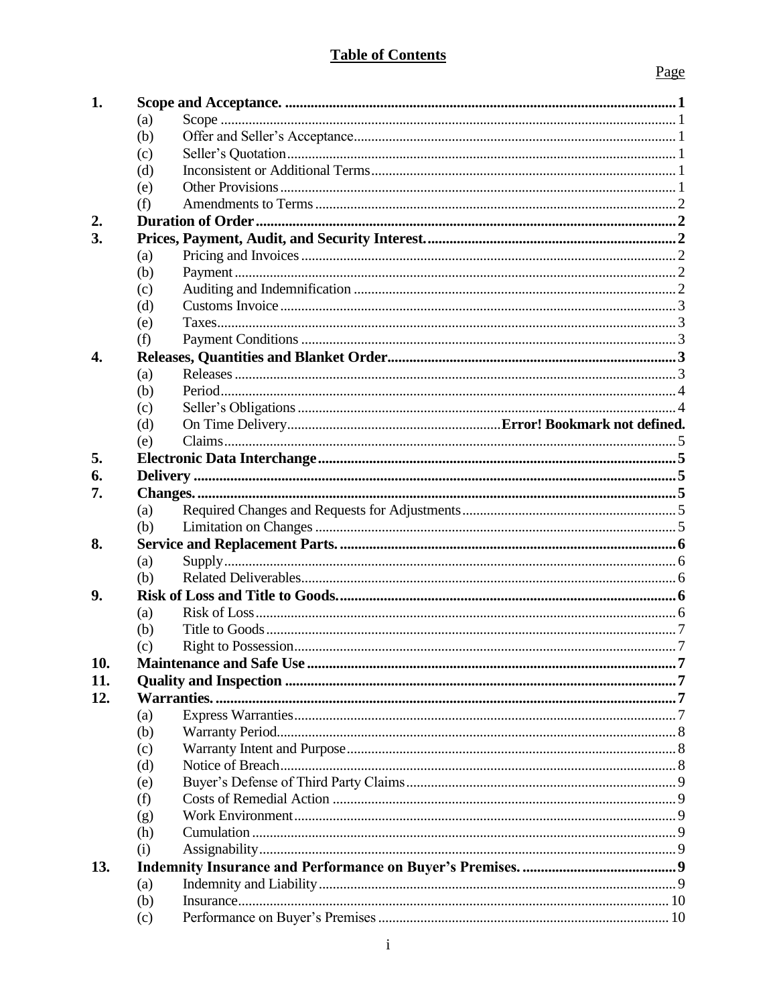## **Table of Contents**

|--|

| 1.               |     |  |
|------------------|-----|--|
|                  | (a) |  |
|                  | (b) |  |
|                  | (c) |  |
|                  | (d) |  |
|                  | (e) |  |
|                  | (f) |  |
| 2.               |     |  |
| 3.               |     |  |
|                  | (a) |  |
|                  | (b) |  |
|                  | (c) |  |
|                  | (d) |  |
|                  | (e) |  |
|                  | (f) |  |
| $\overline{4}$ . |     |  |
|                  | (a) |  |
|                  | (b) |  |
|                  | (c) |  |
|                  | (d) |  |
|                  | (e) |  |
| 5.               |     |  |
| 6.               |     |  |
| 7.               |     |  |
|                  | (a) |  |
|                  | (b) |  |
| 8.               |     |  |
|                  | (a) |  |
|                  | (b) |  |
| 9.               |     |  |
|                  | (a) |  |
|                  | (b) |  |
|                  | (c) |  |
| 10.              |     |  |
| 11.              |     |  |
| 12.              |     |  |
|                  | (a) |  |
|                  | (b) |  |
|                  | (c) |  |
|                  | (d) |  |
|                  | (e) |  |
|                  | (f) |  |
|                  | (g) |  |
|                  | (h) |  |
|                  | (i) |  |
| 13.              |     |  |
|                  | (a) |  |
|                  | (b) |  |
|                  | (c) |  |
|                  |     |  |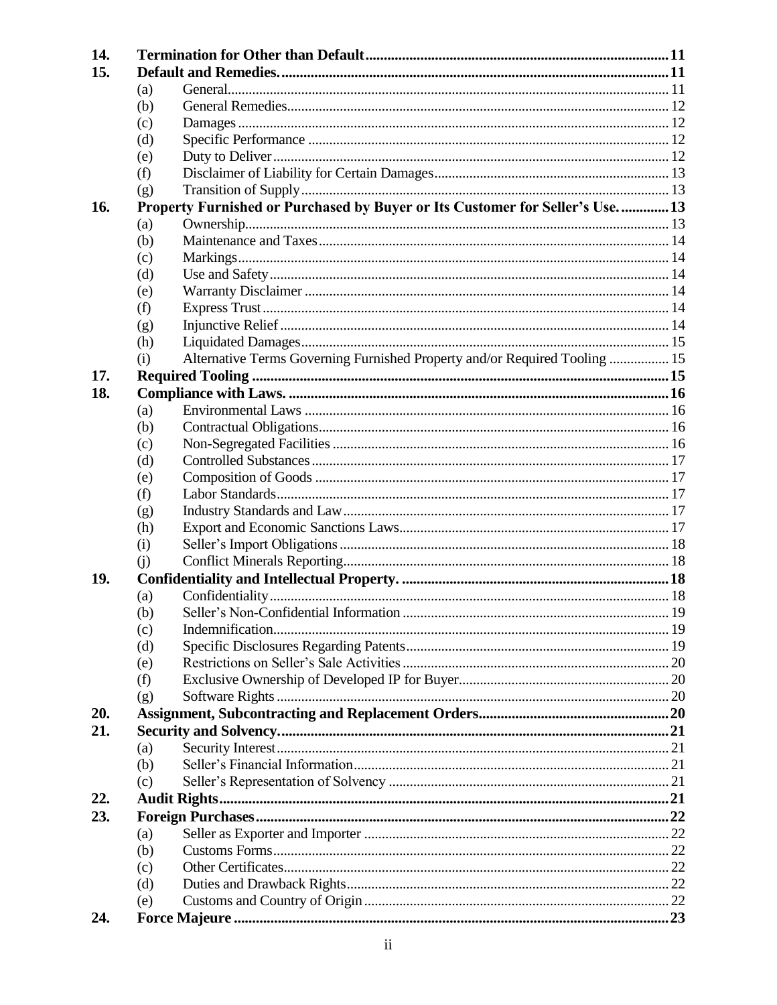| 14. |     |                                                                                |  |
|-----|-----|--------------------------------------------------------------------------------|--|
| 15. |     |                                                                                |  |
|     | (a) |                                                                                |  |
|     | (b) |                                                                                |  |
|     | (c) |                                                                                |  |
|     | (d) |                                                                                |  |
|     | (e) |                                                                                |  |
|     | (f) |                                                                                |  |
|     | (g) |                                                                                |  |
| 16. |     | Property Furnished or Purchased by Buyer or Its Customer for Seller's Use.  13 |  |
|     | (a) |                                                                                |  |
|     | (b) |                                                                                |  |
|     | (c) |                                                                                |  |
|     | (d) |                                                                                |  |
|     | (e) |                                                                                |  |
|     | (f) |                                                                                |  |
|     | (g) |                                                                                |  |
|     | (h) |                                                                                |  |
|     | (i) | Alternative Terms Governing Furnished Property and/or Required Tooling  15     |  |
| 17. |     |                                                                                |  |
| 18. |     |                                                                                |  |
|     | (a) |                                                                                |  |
|     | (b) |                                                                                |  |
|     | (c) |                                                                                |  |
|     | (d) |                                                                                |  |
|     | (e) |                                                                                |  |
|     | (f) |                                                                                |  |
|     | (g) |                                                                                |  |
|     | (h) |                                                                                |  |
|     | (i) |                                                                                |  |
|     | (i) |                                                                                |  |
| 19. |     |                                                                                |  |
|     | (a) |                                                                                |  |
|     | (b) | Seller's Non-Confidential Information                                          |  |
|     | (c) |                                                                                |  |
|     | (d) |                                                                                |  |
|     | (e) |                                                                                |  |
|     | (f) |                                                                                |  |
|     | (g) |                                                                                |  |
| 20. |     |                                                                                |  |
| 21. |     |                                                                                |  |
|     | (a) |                                                                                |  |
|     | (b) |                                                                                |  |
|     | (c) |                                                                                |  |
| 22. |     |                                                                                |  |
| 23. |     |                                                                                |  |
|     | (a) |                                                                                |  |
|     | (b) |                                                                                |  |
|     | (c) |                                                                                |  |
|     | (d) |                                                                                |  |
|     | (e) |                                                                                |  |
| 24. |     |                                                                                |  |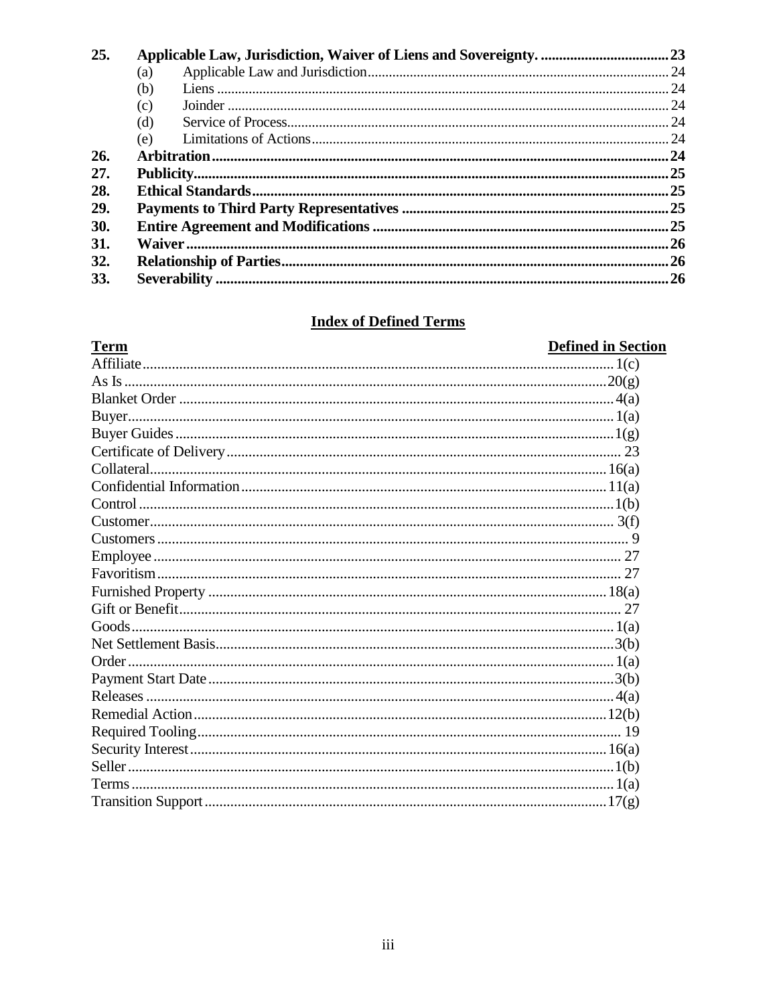| 25. |     |  |
|-----|-----|--|
|     | (a) |  |
|     | (b) |  |
|     | (c) |  |
|     | (d) |  |
|     | (e) |  |
| 26. |     |  |
| 27. |     |  |
| 28. |     |  |
| 29. |     |  |
| 30. |     |  |
| 31. |     |  |
| 32. |     |  |
| 33. |     |  |

# **Index of Defined Terms**

| <b>Term</b> | <b>Defined in Section</b> |
|-------------|---------------------------|
|             |                           |
|             |                           |
|             |                           |
|             |                           |
|             |                           |
|             |                           |
|             |                           |
|             |                           |
|             |                           |
|             |                           |
|             |                           |
|             |                           |
|             |                           |
|             |                           |
|             |                           |
|             |                           |
|             |                           |
|             |                           |
|             |                           |
|             |                           |
|             |                           |
|             |                           |
|             |                           |
|             |                           |
|             |                           |
|             |                           |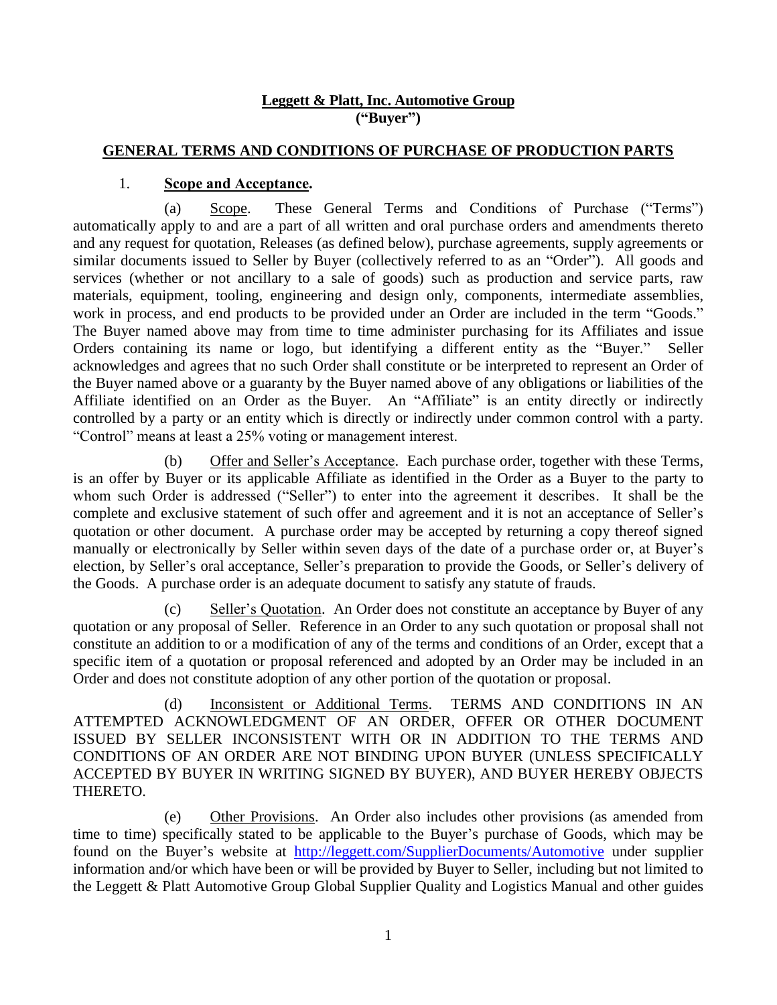#### **Leggett & Platt, Inc. Automotive Group ("Buyer")**

#### **GENERAL TERMS AND CONDITIONS OF PURCHASE OF PRODUCTION PARTS**

#### 1. **Scope and Acceptance.**

<span id="page-4-1"></span><span id="page-4-0"></span>(a) Scope. These General Terms and Conditions of Purchase ("Terms") automatically apply to and are a part of all written and oral purchase orders and amendments thereto and any request for quotation, Releases (as defined below), purchase agreements, supply agreements or similar documents issued to Seller by Buyer (collectively referred to as an "Order"). All goods and services (whether or not ancillary to a sale of goods) such as production and service parts, raw materials, equipment, tooling, engineering and design only, components, intermediate assemblies, work in process, and end products to be provided under an Order are included in the term "Goods." The Buyer named above may from time to time administer purchasing for its Affiliates and issue Orders containing its name or logo, but identifying a different entity as the "Buyer." Seller acknowledges and agrees that no such Order shall constitute or be interpreted to represent an Order of the Buyer named above or a guaranty by the Buyer named above of any obligations or liabilities of the Affiliate identified on an Order as the Buyer. An "Affiliate" is an entity directly or indirectly controlled by a party or an entity which is directly or indirectly under common control with a party. "Control" means at least a 25% voting or management interest.

<span id="page-4-2"></span>(b) Offer and Seller's Acceptance. Each purchase order, together with these Terms, is an offer by Buyer or its applicable Affiliate as identified in the Order as a Buyer to the party to whom such Order is addressed ("Seller") to enter into the agreement it describes. It shall be the complete and exclusive statement of such offer and agreement and it is not an acceptance of Seller's quotation or other document. A purchase order may be accepted by returning a copy thereof signed manually or electronically by Seller within seven days of the date of a purchase order or, at Buyer's election, by Seller's oral acceptance, Seller's preparation to provide the Goods, or Seller's delivery of the Goods. A purchase order is an adequate document to satisfy any statute of frauds.

<span id="page-4-3"></span>(c) Seller's Quotation. An Order does not constitute an acceptance by Buyer of any quotation or any proposal of Seller. Reference in an Order to any such quotation or proposal shall not constitute an addition to or a modification of any of the terms and conditions of an Order, except that a specific item of a quotation or proposal referenced and adopted by an Order may be included in an Order and does not constitute adoption of any other portion of the quotation or proposal.

<span id="page-4-4"></span>(d) Inconsistent or Additional Terms. TERMS AND CONDITIONS IN AN ATTEMPTED ACKNOWLEDGMENT OF AN ORDER, OFFER OR OTHER DOCUMENT ISSUED BY SELLER INCONSISTENT WITH OR IN ADDITION TO THE TERMS AND CONDITIONS OF AN ORDER ARE NOT BINDING UPON BUYER (UNLESS SPECIFICALLY ACCEPTED BY BUYER IN WRITING SIGNED BY BUYER), AND BUYER HEREBY OBJECTS THERETO.

<span id="page-4-5"></span>(e) Other Provisions. An Order also includes other provisions (as amended from time to time) specifically stated to be applicable to the Buyer's purchase of Goods, which may be found on the Buyer's website at <http://leggett.com/SupplierDocuments/Automotive> under supplier information and/or which have been or will be provided by Buyer to Seller, including but not limited to the Leggett & Platt Automotive Group Global Supplier Quality and Logistics Manual and other guides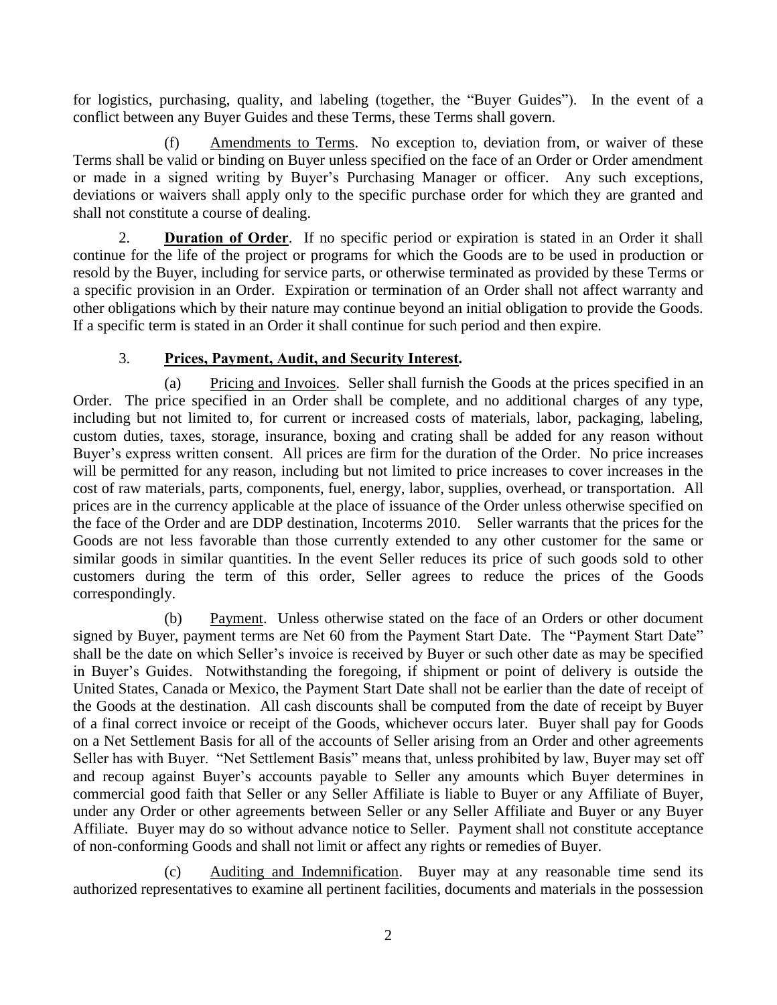for logistics, purchasing, quality, and labeling (together, the "Buyer Guides"). In the event of a conflict between any Buyer Guides and these Terms, these Terms shall govern.

<span id="page-5-0"></span>(f) Amendments to Terms. No exception to, deviation from, or waiver of these Terms shall be valid or binding on Buyer unless specified on the face of an Order or Order amendment or made in a signed writing by Buyer's Purchasing Manager or officer. Any such exceptions, deviations or waivers shall apply only to the specific purchase order for which they are granted and shall not constitute a course of dealing.

<span id="page-5-1"></span>2. **Duration of Order**. If no specific period or expiration is stated in an Order it shall continue for the life of the project or programs for which the Goods are to be used in production or resold by the Buyer, including for service parts, or otherwise terminated as provided by these Terms or a specific provision in an Order. Expiration or termination of an Order shall not affect warranty and other obligations which by their nature may continue beyond an initial obligation to provide the Goods. If a specific term is stated in an Order it shall continue for such period and then expire.

## 3. **Prices, Payment, Audit, and Security Interest.**

<span id="page-5-3"></span><span id="page-5-2"></span>(a) Pricing and Invoices. Seller shall furnish the Goods at the prices specified in an Order. The price specified in an Order shall be complete, and no additional charges of any type, including but not limited to, for current or increased costs of materials, labor, packaging, labeling, custom duties, taxes, storage, insurance, boxing and crating shall be added for any reason without Buyer's express written consent. All prices are firm for the duration of the Order. No price increases will be permitted for any reason, including but not limited to price increases to cover increases in the cost of raw materials, parts, components, fuel, energy, labor, supplies, overhead, or transportation. All prices are in the currency applicable at the place of issuance of the Order unless otherwise specified on the face of the Order and are DDP destination, Incoterms 2010. Seller warrants that the prices for the Goods are not less favorable than those currently extended to any other customer for the same or similar goods in similar quantities. In the event Seller reduces its price of such goods sold to other customers during the term of this order, Seller agrees to reduce the prices of the Goods correspondingly.

<span id="page-5-4"></span>(b) Payment. Unless otherwise stated on the face of an Orders or other document signed by Buyer, payment terms are Net 60 from the Payment Start Date. The "Payment Start Date" shall be the date on which Seller's invoice is received by Buyer or such other date as may be specified in Buyer's Guides. Notwithstanding the foregoing, if shipment or point of delivery is outside the United States, Canada or Mexico, the Payment Start Date shall not be earlier than the date of receipt of the Goods at the destination. All cash discounts shall be computed from the date of receipt by Buyer of a final correct invoice or receipt of the Goods, whichever occurs later. Buyer shall pay for Goods on a Net Settlement Basis for all of the accounts of Seller arising from an Order and other agreements Seller has with Buyer. "Net Settlement Basis" means that, unless prohibited by law, Buyer may set off and recoup against Buyer's accounts payable to Seller any amounts which Buyer determines in commercial good faith that Seller or any Seller Affiliate is liable to Buyer or any Affiliate of Buyer, under any Order or other agreements between Seller or any Seller Affiliate and Buyer or any Buyer Affiliate. Buyer may do so without advance notice to Seller. Payment shall not constitute acceptance of non-conforming Goods and shall not limit or affect any rights or remedies of Buyer.

<span id="page-5-5"></span>(c) Auditing and Indemnification. Buyer may at any reasonable time send its authorized representatives to examine all pertinent facilities, documents and materials in the possession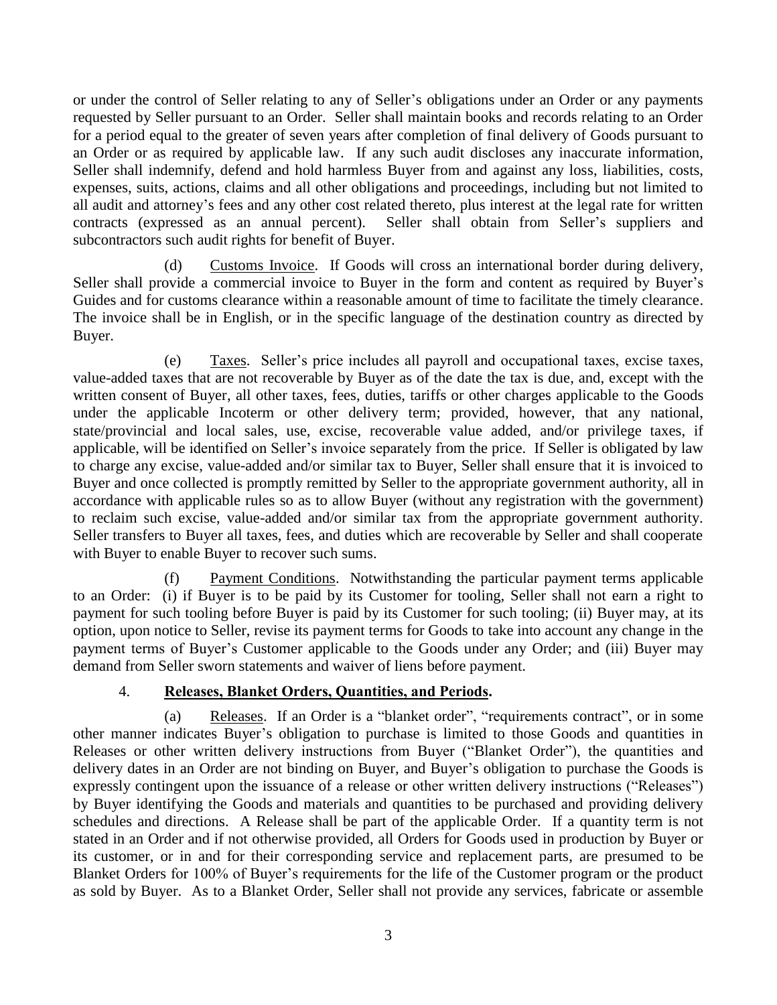or under the control of Seller relating to any of Seller's obligations under an Order or any payments requested by Seller pursuant to an Order. Seller shall maintain books and records relating to an Order for a period equal to the greater of seven years after completion of final delivery of Goods pursuant to an Order or as required by applicable law. If any such audit discloses any inaccurate information, Seller shall indemnify, defend and hold harmless Buyer from and against any loss, liabilities, costs, expenses, suits, actions, claims and all other obligations and proceedings, including but not limited to all audit and attorney's fees and any other cost related thereto, plus interest at the legal rate for written contracts (expressed as an annual percent). Seller shall obtain from Seller's suppliers and subcontractors such audit rights for benefit of Buyer.

<span id="page-6-0"></span>(d) Customs Invoice. If Goods will cross an international border during delivery, Seller shall provide a commercial invoice to Buyer in the form and content as required by Buyer's Guides and for customs clearance within a reasonable amount of time to facilitate the timely clearance. The invoice shall be in English, or in the specific language of the destination country as directed by Buyer.

<span id="page-6-1"></span>(e) Taxes. Seller's price includes all payroll and occupational taxes, excise taxes, value-added taxes that are not recoverable by Buyer as of the date the tax is due, and, except with the written consent of Buyer, all other taxes, fees, duties, tariffs or other charges applicable to the Goods under the applicable Incoterm or other delivery term; provided, however, that any national, state/provincial and local sales, use, excise, recoverable value added, and/or privilege taxes, if applicable, will be identified on Seller's invoice separately from the price. If Seller is obligated by law to charge any excise, value-added and/or similar tax to Buyer, Seller shall ensure that it is invoiced to Buyer and once collected is promptly remitted by Seller to the appropriate government authority, all in accordance with applicable rules so as to allow Buyer (without any registration with the government) to reclaim such excise, value-added and/or similar tax from the appropriate government authority. Seller transfers to Buyer all taxes, fees, and duties which are recoverable by Seller and shall cooperate with Buyer to enable Buyer to recover such sums.

<span id="page-6-2"></span>(f) Payment Conditions. Notwithstanding the particular payment terms applicable to an Order: (i) if Buyer is to be paid by its Customer for tooling, Seller shall not earn a right to payment for such tooling before Buyer is paid by its Customer for such tooling; (ii) Buyer may, at its option, upon notice to Seller, revise its payment terms for Goods to take into account any change in the payment terms of Buyer's Customer applicable to the Goods under any Order; and (iii) Buyer may demand from Seller sworn statements and waiver of liens before payment.

### 4. **Releases, Blanket Orders, Quantities, and Periods.**

<span id="page-6-4"></span><span id="page-6-3"></span>(a) Releases. If an Order is a "blanket order", "requirements contract", or in some other manner indicates Buyer's obligation to purchase is limited to those Goods and quantities in Releases or other written delivery instructions from Buyer ("Blanket Order"), the quantities and delivery dates in an Order are not binding on Buyer, and Buyer's obligation to purchase the Goods is expressly contingent upon the issuance of a release or other written delivery instructions ("Releases") by Buyer identifying the Goods and materials and quantities to be purchased and providing delivery schedules and directions. A Release shall be part of the applicable Order. If a quantity term is not stated in an Order and if not otherwise provided, all Orders for Goods used in production by Buyer or its customer, or in and for their corresponding service and replacement parts, are presumed to be Blanket Orders for 100% of Buyer's requirements for the life of the Customer program or the product as sold by Buyer. As to a Blanket Order, Seller shall not provide any services, fabricate or assemble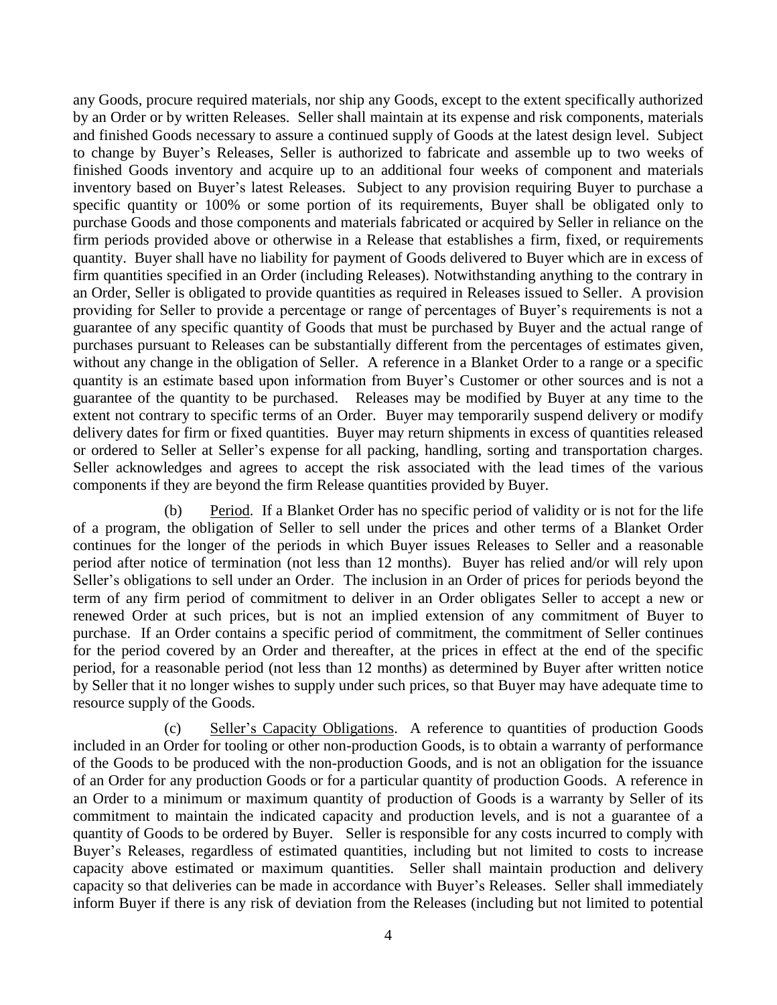any Goods, procure required materials, nor ship any Goods, except to the extent specifically authorized by an Order or by written Releases. Seller shall maintain at its expense and risk components, materials and finished Goods necessary to assure a continued supply of Goods at the latest design level. Subject to change by Buyer's Releases, Seller is authorized to fabricate and assemble up to two weeks of finished Goods inventory and acquire up to an additional four weeks of component and materials inventory based on Buyer's latest Releases. Subject to any provision requiring Buyer to purchase a specific quantity or 100% or some portion of its requirements, Buyer shall be obligated only to purchase Goods and those components and materials fabricated or acquired by Seller in reliance on the firm periods provided above or otherwise in a Release that establishes a firm, fixed, or requirements quantity. Buyer shall have no liability for payment of Goods delivered to Buyer which are in excess of firm quantities specified in an Order (including Releases). Notwithstanding anything to the contrary in an Order, Seller is obligated to provide quantities as required in Releases issued to Seller. A provision providing for Seller to provide a percentage or range of percentages of Buyer's requirements is not a guarantee of any specific quantity of Goods that must be purchased by Buyer and the actual range of purchases pursuant to Releases can be substantially different from the percentages of estimates given, without any change in the obligation of Seller. A reference in a Blanket Order to a range or a specific quantity is an estimate based upon information from Buyer's Customer or other sources and is not a guarantee of the quantity to be purchased. Releases may be modified by Buyer at any time to the extent not contrary to specific terms of an Order. Buyer may temporarily suspend delivery or modify delivery dates for firm or fixed quantities. Buyer may return shipments in excess of quantities released or ordered to Seller at Seller's expense for all packing, handling, sorting and transportation charges. Seller acknowledges and agrees to accept the risk associated with the lead times of the various components if they are beyond the firm Release quantities provided by Buyer.

<span id="page-7-0"></span>(b) Period. If a Blanket Order has no specific period of validity or is not for the life of a program, the obligation of Seller to sell under the prices and other terms of a Blanket Order continues for the longer of the periods in which Buyer issues Releases to Seller and a reasonable period after notice of termination (not less than 12 months). Buyer has relied and/or will rely upon Seller's obligations to sell under an Order. The inclusion in an Order of prices for periods beyond the term of any firm period of commitment to deliver in an Order obligates Seller to accept a new or renewed Order at such prices, but is not an implied extension of any commitment of Buyer to purchase. If an Order contains a specific period of commitment, the commitment of Seller continues for the period covered by an Order and thereafter, at the prices in effect at the end of the specific period, for a reasonable period (not less than 12 months) as determined by Buyer after written notice by Seller that it no longer wishes to supply under such prices, so that Buyer may have adequate time to resource supply of the Goods.

<span id="page-7-1"></span>(c) Seller's Capacity Obligations. A reference to quantities of production Goods included in an Order for tooling or other non-production Goods, is to obtain a warranty of performance of the Goods to be produced with the non-production Goods, and is not an obligation for the issuance of an Order for any production Goods or for a particular quantity of production Goods. A reference in an Order to a minimum or maximum quantity of production of Goods is a warranty by Seller of its commitment to maintain the indicated capacity and production levels, and is not a guarantee of a quantity of Goods to be ordered by Buyer. Seller is responsible for any costs incurred to comply with Buyer's Releases, regardless of estimated quantities, including but not limited to costs to increase capacity above estimated or maximum quantities. Seller shall maintain production and delivery capacity so that deliveries can be made in accordance with Buyer's Releases. Seller shall immediately inform Buyer if there is any risk of deviation from the Releases (including but not limited to potential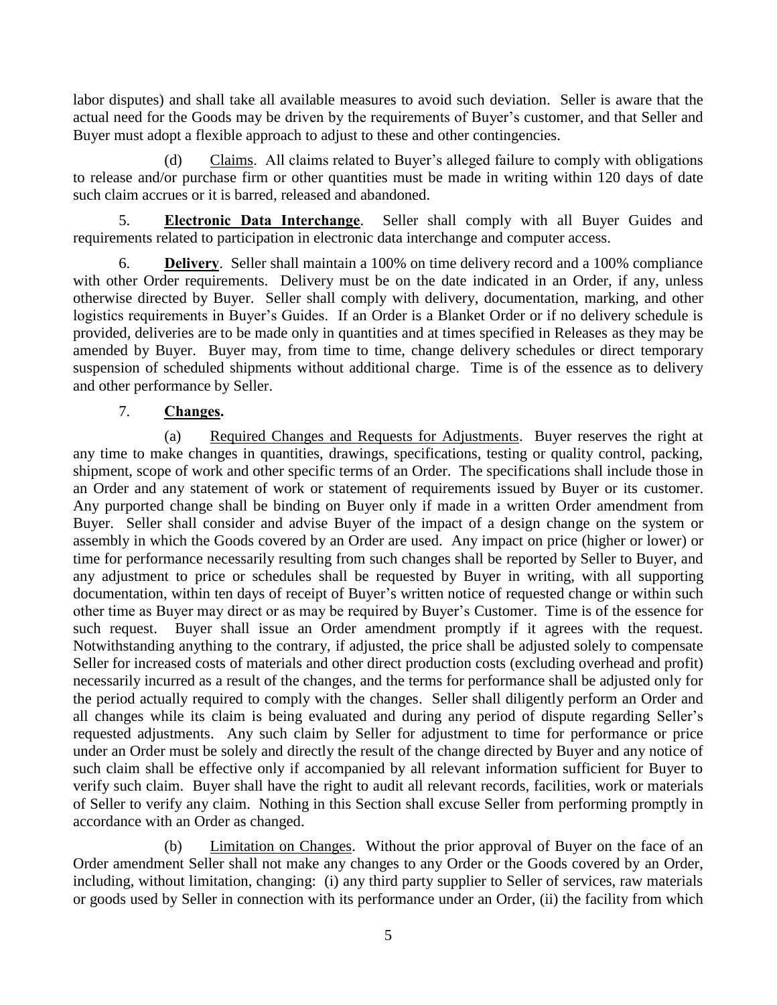labor disputes) and shall take all available measures to avoid such deviation. Seller is aware that the actual need for the Goods may be driven by the requirements of Buyer's customer, and that Seller and Buyer must adopt a flexible approach to adjust to these and other contingencies.

<span id="page-8-0"></span>(d) Claims. All claims related to Buyer's alleged failure to comply with obligations to release and/or purchase firm or other quantities must be made in writing within 120 days of date such claim accrues or it is barred, released and abandoned.

<span id="page-8-1"></span>5. **Electronic Data Interchange**. Seller shall comply with all Buyer Guides and requirements related to participation in electronic data interchange and computer access.

<span id="page-8-2"></span>6. **Delivery**. Seller shall maintain a 100% on time delivery record and a 100% compliance with other Order requirements. Delivery must be on the date indicated in an Order, if any, unless otherwise directed by Buyer. Seller shall comply with delivery, documentation, marking, and other logistics requirements in Buyer's Guides. If an Order is a Blanket Order or if no delivery schedule is provided, deliveries are to be made only in quantities and at times specified in Releases as they may be amended by Buyer. Buyer may, from time to time, change delivery schedules or direct temporary suspension of scheduled shipments without additional charge. Time is of the essence as to delivery and other performance by Seller.

## 7. **Changes.**

<span id="page-8-4"></span><span id="page-8-3"></span>(a) Required Changes and Requests for Adjustments. Buyer reserves the right at any time to make changes in quantities, drawings, specifications, testing or quality control, packing, shipment, scope of work and other specific terms of an Order. The specifications shall include those in an Order and any statement of work or statement of requirements issued by Buyer or its customer. Any purported change shall be binding on Buyer only if made in a written Order amendment from Buyer. Seller shall consider and advise Buyer of the impact of a design change on the system or assembly in which the Goods covered by an Order are used. Any impact on price (higher or lower) or time for performance necessarily resulting from such changes shall be reported by Seller to Buyer, and any adjustment to price or schedules shall be requested by Buyer in writing, with all supporting documentation, within ten days of receipt of Buyer's written notice of requested change or within such other time as Buyer may direct or as may be required by Buyer's Customer. Time is of the essence for such request. Buyer shall issue an Order amendment promptly if it agrees with the request. Notwithstanding anything to the contrary, if adjusted, the price shall be adjusted solely to compensate Seller for increased costs of materials and other direct production costs (excluding overhead and profit) necessarily incurred as a result of the changes, and the terms for performance shall be adjusted only for the period actually required to comply with the changes. Seller shall diligently perform an Order and all changes while its claim is being evaluated and during any period of dispute regarding Seller's requested adjustments. Any such claim by Seller for adjustment to time for performance or price under an Order must be solely and directly the result of the change directed by Buyer and any notice of such claim shall be effective only if accompanied by all relevant information sufficient for Buyer to verify such claim. Buyer shall have the right to audit all relevant records, facilities, work or materials of Seller to verify any claim. Nothing in this Section shall excuse Seller from performing promptly in accordance with an Order as changed.

<span id="page-8-5"></span>(b) Limitation on Changes. Without the prior approval of Buyer on the face of an Order amendment Seller shall not make any changes to any Order or the Goods covered by an Order, including, without limitation, changing: (i) any third party supplier to Seller of services, raw materials or goods used by Seller in connection with its performance under an Order, (ii) the facility from which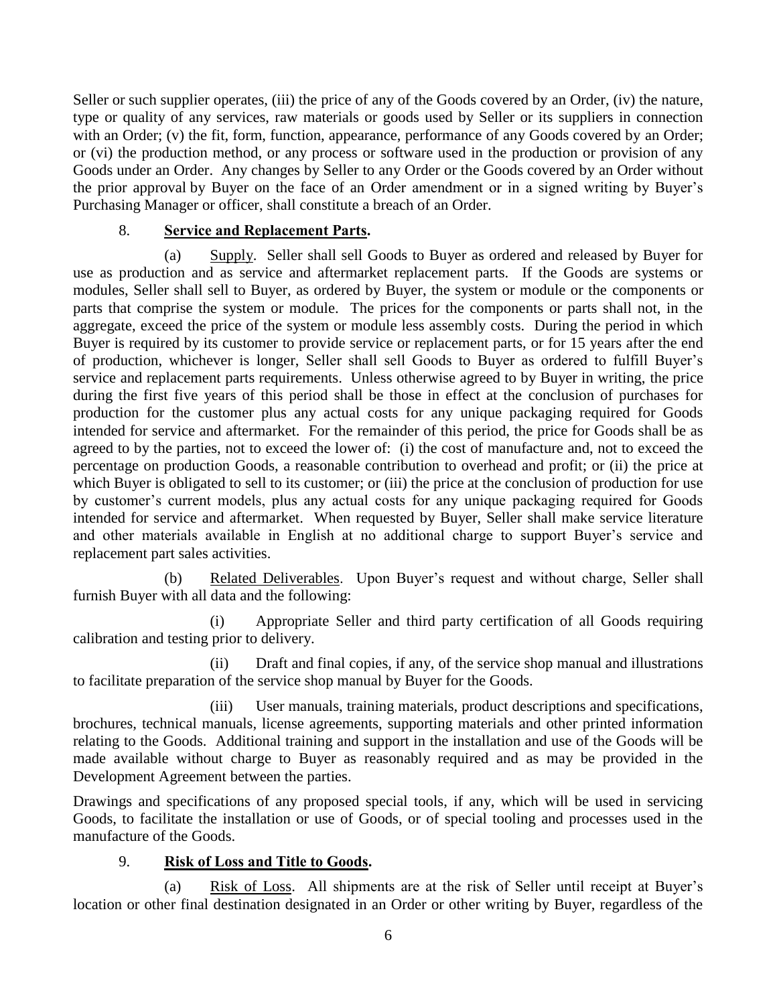Seller or such supplier operates, (iii) the price of any of the Goods covered by an Order, (iv) the nature, type or quality of any services, raw materials or goods used by Seller or its suppliers in connection with an Order; (v) the fit, form, function, appearance, performance of any Goods covered by an Order; or (vi) the production method, or any process or software used in the production or provision of any Goods under an Order. Any changes by Seller to any Order or the Goods covered by an Order without the prior approval by Buyer on the face of an Order amendment or in a signed writing by Buyer's Purchasing Manager or officer, shall constitute a breach of an Order.

### 8. **Service and Replacement Parts.**

<span id="page-9-1"></span><span id="page-9-0"></span>(a) Supply. Seller shall sell Goods to Buyer as ordered and released by Buyer for use as production and as service and aftermarket replacement parts. If the Goods are systems or modules, Seller shall sell to Buyer, as ordered by Buyer, the system or module or the components or parts that comprise the system or module. The prices for the components or parts shall not, in the aggregate, exceed the price of the system or module less assembly costs. During the period in which Buyer is required by its customer to provide service or replacement parts, or for 15 years after the end of production, whichever is longer, Seller shall sell Goods to Buyer as ordered to fulfill Buyer's service and replacement parts requirements. Unless otherwise agreed to by Buyer in writing, the price during the first five years of this period shall be those in effect at the conclusion of purchases for production for the customer plus any actual costs for any unique packaging required for Goods intended for service and aftermarket. For the remainder of this period, the price for Goods shall be as agreed to by the parties, not to exceed the lower of: (i) the cost of manufacture and, not to exceed the percentage on production Goods, a reasonable contribution to overhead and profit; or (ii) the price at which Buyer is obligated to sell to its customer; or (iii) the price at the conclusion of production for use by customer's current models, plus any actual costs for any unique packaging required for Goods intended for service and aftermarket. When requested by Buyer, Seller shall make service literature and other materials available in English at no additional charge to support Buyer's service and replacement part sales activities.

<span id="page-9-2"></span>(b) Related Deliverables. Upon Buyer's request and without charge, Seller shall furnish Buyer with all data and the following:

(i) Appropriate Seller and third party certification of all Goods requiring calibration and testing prior to delivery.

(ii) Draft and final copies, if any, of the service shop manual and illustrations to facilitate preparation of the service shop manual by Buyer for the Goods.

(iii) User manuals, training materials, product descriptions and specifications, brochures, technical manuals, license agreements, supporting materials and other printed information relating to the Goods. Additional training and support in the installation and use of the Goods will be made available without charge to Buyer as reasonably required and as may be provided in the Development Agreement between the parties.

Drawings and specifications of any proposed special tools, if any, which will be used in servicing Goods, to facilitate the installation or use of Goods, or of special tooling and processes used in the manufacture of the Goods.

### 9. **Risk of Loss and Title to Goods.**

<span id="page-9-4"></span><span id="page-9-3"></span>(a) Risk of Loss. All shipments are at the risk of Seller until receipt at Buyer's location or other final destination designated in an Order or other writing by Buyer, regardless of the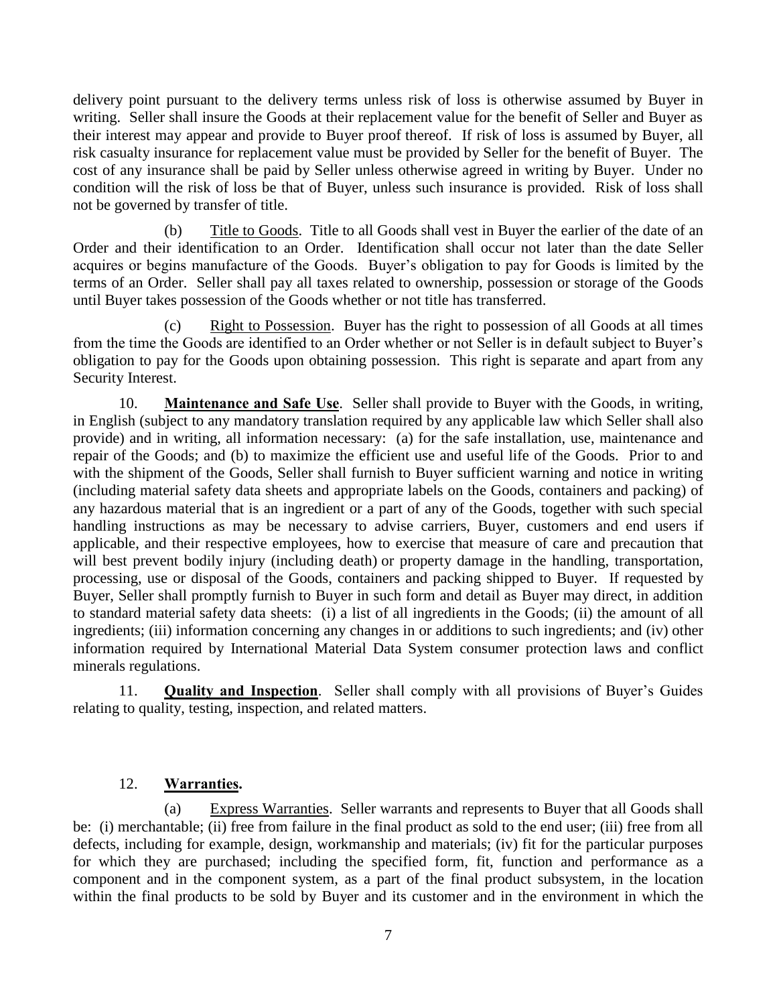delivery point pursuant to the delivery terms unless risk of loss is otherwise assumed by Buyer in writing. Seller shall insure the Goods at their replacement value for the benefit of Seller and Buyer as their interest may appear and provide to Buyer proof thereof. If risk of loss is assumed by Buyer, all risk casualty insurance for replacement value must be provided by Seller for the benefit of Buyer. The cost of any insurance shall be paid by Seller unless otherwise agreed in writing by Buyer. Under no condition will the risk of loss be that of Buyer, unless such insurance is provided. Risk of loss shall not be governed by transfer of title.

<span id="page-10-0"></span>(b) Title to Goods. Title to all Goods shall vest in Buyer the earlier of the date of an Order and their identification to an Order. Identification shall occur not later than the date Seller acquires or begins manufacture of the Goods. Buyer's obligation to pay for Goods is limited by the terms of an Order. Seller shall pay all taxes related to ownership, possession or storage of the Goods until Buyer takes possession of the Goods whether or not title has transferred.

<span id="page-10-1"></span>(c) Right to Possession. Buyer has the right to possession of all Goods at all times from the time the Goods are identified to an Order whether or not Seller is in default subject to Buyer's obligation to pay for the Goods upon obtaining possession. This right is separate and apart from any Security Interest.

<span id="page-10-2"></span>10. **Maintenance and Safe Use**. Seller shall provide to Buyer with the Goods, in writing, in English (subject to any mandatory translation required by any applicable law which Seller shall also provide) and in writing, all information necessary: (a) for the safe installation, use, maintenance and repair of the Goods; and (b) to maximize the efficient use and useful life of the Goods. Prior to and with the shipment of the Goods, Seller shall furnish to Buyer sufficient warning and notice in writing (including material safety data sheets and appropriate labels on the Goods, containers and packing) of any hazardous material that is an ingredient or a part of any of the Goods, together with such special handling instructions as may be necessary to advise carriers, Buyer, customers and end users if applicable, and their respective employees, how to exercise that measure of care and precaution that will best prevent bodily injury (including death) or property damage in the handling, transportation, processing, use or disposal of the Goods, containers and packing shipped to Buyer. If requested by Buyer, Seller shall promptly furnish to Buyer in such form and detail as Buyer may direct, in addition to standard material safety data sheets: (i) a list of all ingredients in the Goods; (ii) the amount of all ingredients; (iii) information concerning any changes in or additions to such ingredients; and (iv) other information required by International Material Data System consumer protection laws and conflict minerals regulations.

<span id="page-10-3"></span>11. **Quality and Inspection**. Seller shall comply with all provisions of Buyer's Guides relating to quality, testing, inspection, and related matters.

### 12. **Warranties.**

<span id="page-10-5"></span><span id="page-10-4"></span>(a) Express Warranties. Seller warrants and represents to Buyer that all Goods shall be: (i) merchantable; (ii) free from failure in the final product as sold to the end user; (iii) free from all defects, including for example, design, workmanship and materials; (iv) fit for the particular purposes for which they are purchased; including the specified form, fit, function and performance as a component and in the component system, as a part of the final product subsystem, in the location within the final products to be sold by Buyer and its customer and in the environment in which the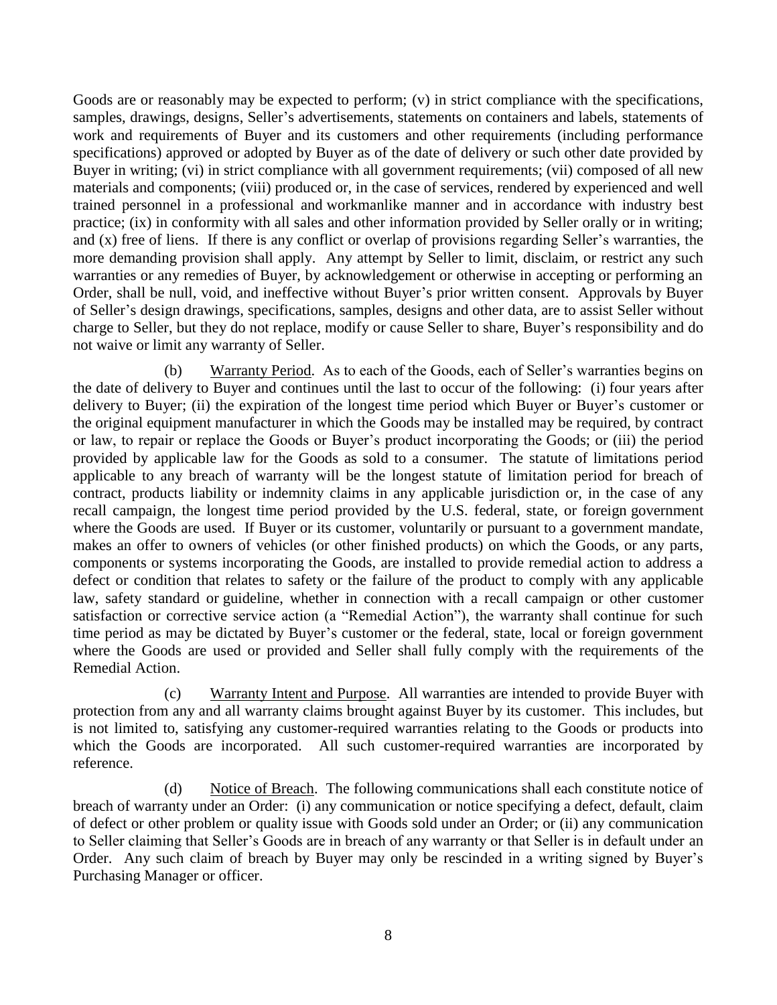Goods are or reasonably may be expected to perform; (v) in strict compliance with the specifications, samples, drawings, designs, Seller's advertisements, statements on containers and labels, statements of work and requirements of Buyer and its customers and other requirements (including performance specifications) approved or adopted by Buyer as of the date of delivery or such other date provided by Buyer in writing; (vi) in strict compliance with all government requirements; (vii) composed of all new materials and components; (viii) produced or, in the case of services, rendered by experienced and well trained personnel in a professional and workmanlike manner and in accordance with industry best practice; (ix) in conformity with all sales and other information provided by Seller orally or in writing; and (x) free of liens. If there is any conflict or overlap of provisions regarding Seller's warranties, the more demanding provision shall apply. Any attempt by Seller to limit, disclaim, or restrict any such warranties or any remedies of Buyer, by acknowledgement or otherwise in accepting or performing an Order, shall be null, void, and ineffective without Buyer's prior written consent. Approvals by Buyer of Seller's design drawings, specifications, samples, designs and other data, are to assist Seller without charge to Seller, but they do not replace, modify or cause Seller to share, Buyer's responsibility and do not waive or limit any warranty of Seller.

<span id="page-11-0"></span>(b) Warranty Period. As to each of the Goods, each of Seller's warranties begins on the date of delivery to Buyer and continues until the last to occur of the following: (i) four years after delivery to Buyer; (ii) the expiration of the longest time period which Buyer or Buyer's customer or the original equipment manufacturer in which the Goods may be installed may be required, by contract or law, to repair or replace the Goods or Buyer's product incorporating the Goods; or (iii) the period provided by applicable law for the Goods as sold to a consumer. The statute of limitations period applicable to any breach of warranty will be the longest statute of limitation period for breach of contract, products liability or indemnity claims in any applicable jurisdiction or, in the case of any recall campaign, the longest time period provided by the U.S. federal, state, or foreign government where the Goods are used. If Buyer or its customer, voluntarily or pursuant to a government mandate, makes an offer to owners of vehicles (or other finished products) on which the Goods, or any parts, components or systems incorporating the Goods, are installed to provide remedial action to address a defect or condition that relates to safety or the failure of the product to comply with any applicable law, safety standard or guideline, whether in connection with a recall campaign or other customer satisfaction or corrective service action (a "Remedial Action"), the warranty shall continue for such time period as may be dictated by Buyer's customer or the federal, state, local or foreign government where the Goods are used or provided and Seller shall fully comply with the requirements of the Remedial Action.

<span id="page-11-1"></span>(c) Warranty Intent and Purpose. All warranties are intended to provide Buyer with protection from any and all warranty claims brought against Buyer by its customer. This includes, but is not limited to, satisfying any customer-required warranties relating to the Goods or products into which the Goods are incorporated. All such customer-required warranties are incorporated by reference.

<span id="page-11-2"></span>(d) Notice of Breach. The following communications shall each constitute notice of breach of warranty under an Order: (i) any communication or notice specifying a defect, default, claim of defect or other problem or quality issue with Goods sold under an Order; or (ii) any communication to Seller claiming that Seller's Goods are in breach of any warranty or that Seller is in default under an Order. Any such claim of breach by Buyer may only be rescinded in a writing signed by Buyer's Purchasing Manager or officer.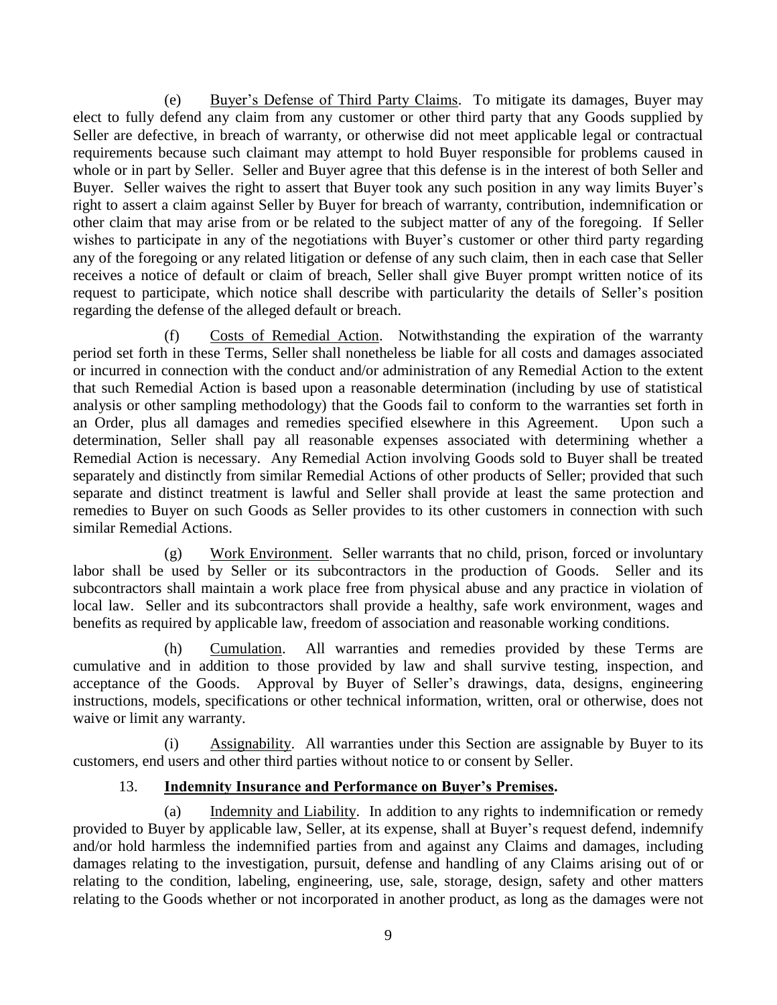<span id="page-12-0"></span>(e) Buyer's Defense of Third Party Claims. To mitigate its damages, Buyer may elect to fully defend any claim from any customer or other third party that any Goods supplied by Seller are defective, in breach of warranty, or otherwise did not meet applicable legal or contractual requirements because such claimant may attempt to hold Buyer responsible for problems caused in whole or in part by Seller. Seller and Buyer agree that this defense is in the interest of both Seller and Buyer. Seller waives the right to assert that Buyer took any such position in any way limits Buyer's right to assert a claim against Seller by Buyer for breach of warranty, contribution, indemnification or other claim that may arise from or be related to the subject matter of any of the foregoing. If Seller wishes to participate in any of the negotiations with Buyer's customer or other third party regarding any of the foregoing or any related litigation or defense of any such claim, then in each case that Seller receives a notice of default or claim of breach, Seller shall give Buyer prompt written notice of its request to participate, which notice shall describe with particularity the details of Seller's position regarding the defense of the alleged default or breach.

<span id="page-12-1"></span>(f) Costs of Remedial Action. Notwithstanding the expiration of the warranty period set forth in these Terms, Seller shall nonetheless be liable for all costs and damages associated or incurred in connection with the conduct and/or administration of any Remedial Action to the extent that such Remedial Action is based upon a reasonable determination (including by use of statistical analysis or other sampling methodology) that the Goods fail to conform to the warranties set forth in an Order, plus all damages and remedies specified elsewhere in this Agreement. Upon such a determination, Seller shall pay all reasonable expenses associated with determining whether a Remedial Action is necessary. Any Remedial Action involving Goods sold to Buyer shall be treated separately and distinctly from similar Remedial Actions of other products of Seller; provided that such separate and distinct treatment is lawful and Seller shall provide at least the same protection and remedies to Buyer on such Goods as Seller provides to its other customers in connection with such similar Remedial Actions.

<span id="page-12-2"></span>(g) Work Environment. Seller warrants that no child, prison, forced or involuntary labor shall be used by Seller or its subcontractors in the production of Goods. Seller and its subcontractors shall maintain a work place free from physical abuse and any practice in violation of local law. Seller and its subcontractors shall provide a healthy, safe work environment, wages and benefits as required by applicable law, freedom of association and reasonable working conditions.

<span id="page-12-3"></span>(h) Cumulation. All warranties and remedies provided by these Terms are cumulative and in addition to those provided by law and shall survive testing, inspection, and acceptance of the Goods. Approval by Buyer of Seller's drawings, data, designs, engineering instructions, models, specifications or other technical information, written, oral or otherwise, does not waive or limit any warranty.

<span id="page-12-4"></span>(i) Assignability. All warranties under this Section are assignable by Buyer to its customers, end users and other third parties without notice to or consent by Seller.

### 13. **Indemnity Insurance and Performance on Buyer's Premises.**

<span id="page-12-6"></span><span id="page-12-5"></span>(a) Indemnity and Liability. In addition to any rights to indemnification or remedy provided to Buyer by applicable law, Seller, at its expense, shall at Buyer's request defend, indemnify and/or hold harmless the indemnified parties from and against any Claims and damages, including damages relating to the investigation, pursuit, defense and handling of any Claims arising out of or relating to the condition, labeling, engineering, use, sale, storage, design, safety and other matters relating to the Goods whether or not incorporated in another product, as long as the damages were not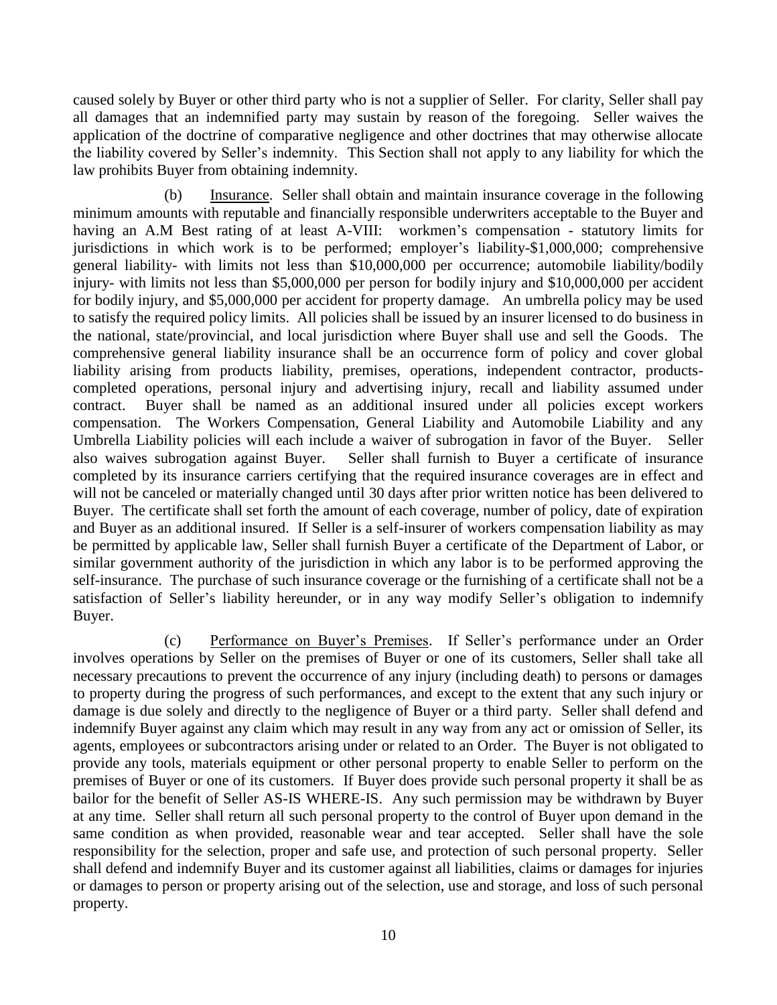caused solely by Buyer or other third party who is not a supplier of Seller. For clarity, Seller shall pay all damages that an indemnified party may sustain by reason of the foregoing. Seller waives the application of the doctrine of comparative negligence and other doctrines that may otherwise allocate the liability covered by Seller's indemnity. This Section shall not apply to any liability for which the law prohibits Buyer from obtaining indemnity.

<span id="page-13-0"></span>(b) Insurance. Seller shall obtain and maintain insurance coverage in the following minimum amounts with reputable and financially responsible underwriters acceptable to the Buyer and having an A.M Best rating of at least A-VIII: workmen's compensation - statutory limits for jurisdictions in which work is to be performed; employer's liability-\$1,000,000; comprehensive general liability- with limits not less than \$10,000,000 per occurrence; automobile liability/bodily injury- with limits not less than \$5,000,000 per person for bodily injury and \$10,000,000 per accident for bodily injury, and \$5,000,000 per accident for property damage. An umbrella policy may be used to satisfy the required policy limits. All policies shall be issued by an insurer licensed to do business in the national, state/provincial, and local jurisdiction where Buyer shall use and sell the Goods. The comprehensive general liability insurance shall be an occurrence form of policy and cover global liability arising from products liability, premises, operations, independent contractor, productscompleted operations, personal injury and advertising injury, recall and liability assumed under contract. Buyer shall be named as an additional insured under all policies except workers compensation. The Workers Compensation, General Liability and Automobile Liability and any Umbrella Liability policies will each include a waiver of subrogation in favor of the Buyer. Seller also waives subrogation against Buyer. Seller shall furnish to Buyer a certificate of insurance completed by its insurance carriers certifying that the required insurance coverages are in effect and will not be canceled or materially changed until 30 days after prior written notice has been delivered to Buyer. The certificate shall set forth the amount of each coverage, number of policy, date of expiration and Buyer as an additional insured. If Seller is a self-insurer of workers compensation liability as may be permitted by applicable law, Seller shall furnish Buyer a certificate of the Department of Labor, or similar government authority of the jurisdiction in which any labor is to be performed approving the self-insurance. The purchase of such insurance coverage or the furnishing of a certificate shall not be a satisfaction of Seller's liability hereunder, or in any way modify Seller's obligation to indemnify Buyer.

<span id="page-13-1"></span>(c) Performance on Buyer's Premises. If Seller's performance under an Order involves operations by Seller on the premises of Buyer or one of its customers, Seller shall take all necessary precautions to prevent the occurrence of any injury (including death) to persons or damages to property during the progress of such performances, and except to the extent that any such injury or damage is due solely and directly to the negligence of Buyer or a third party. Seller shall defend and indemnify Buyer against any claim which may result in any way from any act or omission of Seller, its agents, employees or subcontractors arising under or related to an Order. The Buyer is not obligated to provide any tools, materials equipment or other personal property to enable Seller to perform on the premises of Buyer or one of its customers. If Buyer does provide such personal property it shall be as bailor for the benefit of Seller AS-IS WHERE-IS. Any such permission may be withdrawn by Buyer at any time. Seller shall return all such personal property to the control of Buyer upon demand in the same condition as when provided, reasonable wear and tear accepted. Seller shall have the sole responsibility for the selection, proper and safe use, and protection of such personal property. Seller shall defend and indemnify Buyer and its customer against all liabilities, claims or damages for injuries or damages to person or property arising out of the selection, use and storage, and loss of such personal property.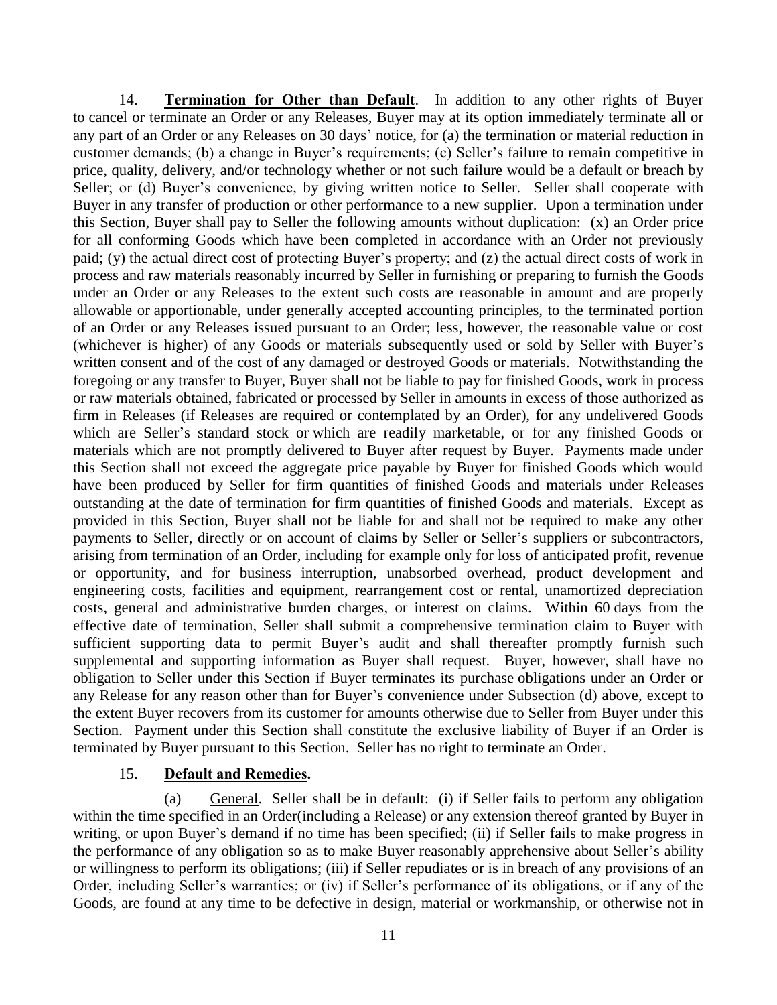<span id="page-14-0"></span>14. **Termination for Other than Default**. In addition to any other rights of Buyer to cancel or terminate an Order or any Releases, Buyer may at its option immediately terminate all or any part of an Order or any Releases on 30 days' notice, for (a) the termination or material reduction in customer demands; (b) a change in Buyer's requirements; (c) Seller's failure to remain competitive in price, quality, delivery, and/or technology whether or not such failure would be a default or breach by Seller; or (d) Buyer's convenience, by giving written notice to Seller. Seller shall cooperate with Buyer in any transfer of production or other performance to a new supplier. Upon a termination under this Section, Buyer shall pay to Seller the following amounts without duplication: (x) an Order price for all conforming Goods which have been completed in accordance with an Order not previously paid; (y) the actual direct cost of protecting Buyer's property; and (z) the actual direct costs of work in process and raw materials reasonably incurred by Seller in furnishing or preparing to furnish the Goods under an Order or any Releases to the extent such costs are reasonable in amount and are properly allowable or apportionable, under generally accepted accounting principles, to the terminated portion of an Order or any Releases issued pursuant to an Order; less, however, the reasonable value or cost (whichever is higher) of any Goods or materials subsequently used or sold by Seller with Buyer's written consent and of the cost of any damaged or destroyed Goods or materials. Notwithstanding the foregoing or any transfer to Buyer, Buyer shall not be liable to pay for finished Goods, work in process or raw materials obtained, fabricated or processed by Seller in amounts in excess of those authorized as firm in Releases (if Releases are required or contemplated by an Order), for any undelivered Goods which are Seller's standard stock or which are readily marketable, or for any finished Goods or materials which are not promptly delivered to Buyer after request by Buyer. Payments made under this Section shall not exceed the aggregate price payable by Buyer for finished Goods which would have been produced by Seller for firm quantities of finished Goods and materials under Releases outstanding at the date of termination for firm quantities of finished Goods and materials. Except as provided in this Section, Buyer shall not be liable for and shall not be required to make any other payments to Seller, directly or on account of claims by Seller or Seller's suppliers or subcontractors, arising from termination of an Order, including for example only for loss of anticipated profit, revenue or opportunity, and for business interruption, unabsorbed overhead, product development and engineering costs, facilities and equipment, rearrangement cost or rental, unamortized depreciation costs, general and administrative burden charges, or interest on claims. Within 60 days from the effective date of termination, Seller shall submit a comprehensive termination claim to Buyer with sufficient supporting data to permit Buyer's audit and shall thereafter promptly furnish such supplemental and supporting information as Buyer shall request. Buyer, however, shall have no obligation to Seller under this Section if Buyer terminates its purchase obligations under an Order or any Release for any reason other than for Buyer's convenience under Subsection (d) above, except to the extent Buyer recovers from its customer for amounts otherwise due to Seller from Buyer under this Section. Payment under this Section shall constitute the exclusive liability of Buyer if an Order is terminated by Buyer pursuant to this Section. Seller has no right to terminate an Order.

#### 15. **Default and Remedies.**

<span id="page-14-2"></span><span id="page-14-1"></span>(a) General. Seller shall be in default: (i) if Seller fails to perform any obligation within the time specified in an Order(including a Release) or any extension thereof granted by Buyer in writing, or upon Buyer's demand if no time has been specified; (ii) if Seller fails to make progress in the performance of any obligation so as to make Buyer reasonably apprehensive about Seller's ability or willingness to perform its obligations; (iii) if Seller repudiates or is in breach of any provisions of an Order, including Seller's warranties; or (iv) if Seller's performance of its obligations, or if any of the Goods, are found at any time to be defective in design, material or workmanship, or otherwise not in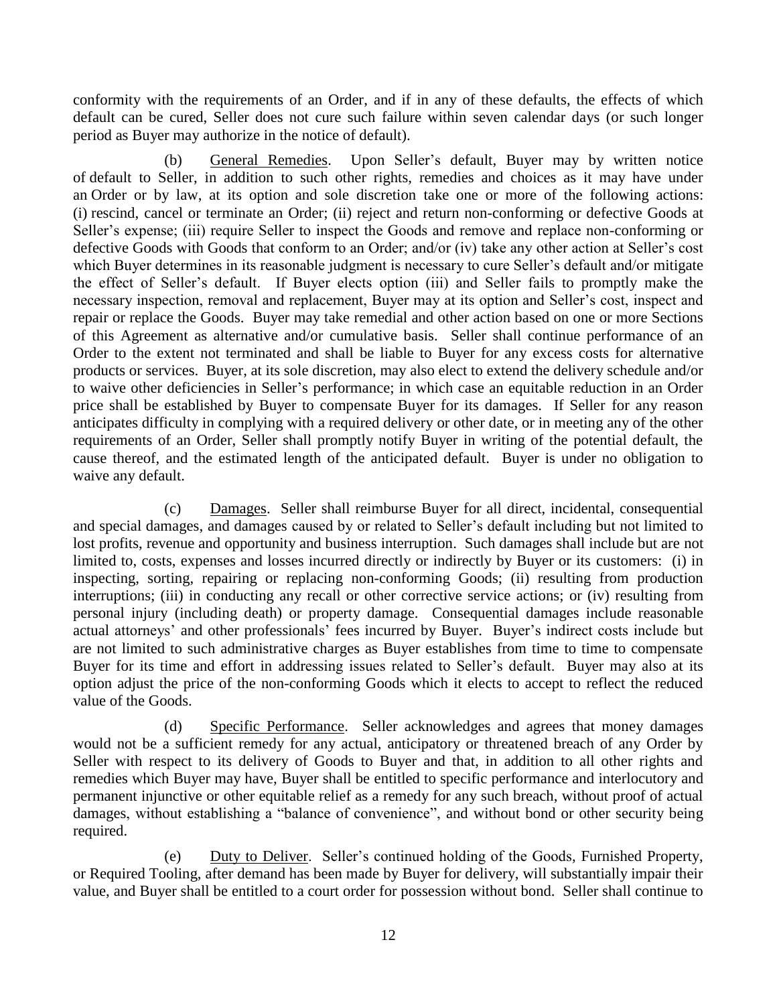conformity with the requirements of an Order, and if in any of these defaults, the effects of which default can be cured, Seller does not cure such failure within seven calendar days (or such longer period as Buyer may authorize in the notice of default).

<span id="page-15-0"></span>(b) General Remedies. Upon Seller's default, Buyer may by written notice of default to Seller, in addition to such other rights, remedies and choices as it may have under an Order or by law, at its option and sole discretion take one or more of the following actions: (i) rescind, cancel or terminate an Order; (ii) reject and return non-conforming or defective Goods at Seller's expense; (iii) require Seller to inspect the Goods and remove and replace non-conforming or defective Goods with Goods that conform to an Order; and/or (iv) take any other action at Seller's cost which Buyer determines in its reasonable judgment is necessary to cure Seller's default and/or mitigate the effect of Seller's default. If Buyer elects option (iii) and Seller fails to promptly make the necessary inspection, removal and replacement, Buyer may at its option and Seller's cost, inspect and repair or replace the Goods. Buyer may take remedial and other action based on one or more Sections of this Agreement as alternative and/or cumulative basis. Seller shall continue performance of an Order to the extent not terminated and shall be liable to Buyer for any excess costs for alternative products or services. Buyer, at its sole discretion, may also elect to extend the delivery schedule and/or to waive other deficiencies in Seller's performance; in which case an equitable reduction in an Order price shall be established by Buyer to compensate Buyer for its damages. If Seller for any reason anticipates difficulty in complying with a required delivery or other date, or in meeting any of the other requirements of an Order, Seller shall promptly notify Buyer in writing of the potential default, the cause thereof, and the estimated length of the anticipated default. Buyer is under no obligation to waive any default.

<span id="page-15-1"></span>(c) Damages. Seller shall reimburse Buyer for all direct, incidental, consequential and special damages, and damages caused by or related to Seller's default including but not limited to lost profits, revenue and opportunity and business interruption. Such damages shall include but are not limited to, costs, expenses and losses incurred directly or indirectly by Buyer or its customers: (i) in inspecting, sorting, repairing or replacing non-conforming Goods; (ii) resulting from production interruptions; (iii) in conducting any recall or other corrective service actions; or (iv) resulting from personal injury (including death) or property damage. Consequential damages include reasonable actual attorneys' and other professionals' fees incurred by Buyer. Buyer's indirect costs include but are not limited to such administrative charges as Buyer establishes from time to time to compensate Buyer for its time and effort in addressing issues related to Seller's default. Buyer may also at its option adjust the price of the non-conforming Goods which it elects to accept to reflect the reduced value of the Goods.

<span id="page-15-2"></span>(d) Specific Performance. Seller acknowledges and agrees that money damages would not be a sufficient remedy for any actual, anticipatory or threatened breach of any Order by Seller with respect to its delivery of Goods to Buyer and that, in addition to all other rights and remedies which Buyer may have, Buyer shall be entitled to specific performance and interlocutory and permanent injunctive or other equitable relief as a remedy for any such breach, without proof of actual damages, without establishing a "balance of convenience", and without bond or other security being required.

<span id="page-15-3"></span>(e) Duty to Deliver. Seller's continued holding of the Goods, Furnished Property, or Required Tooling, after demand has been made by Buyer for delivery, will substantially impair their value, and Buyer shall be entitled to a court order for possession without bond. Seller shall continue to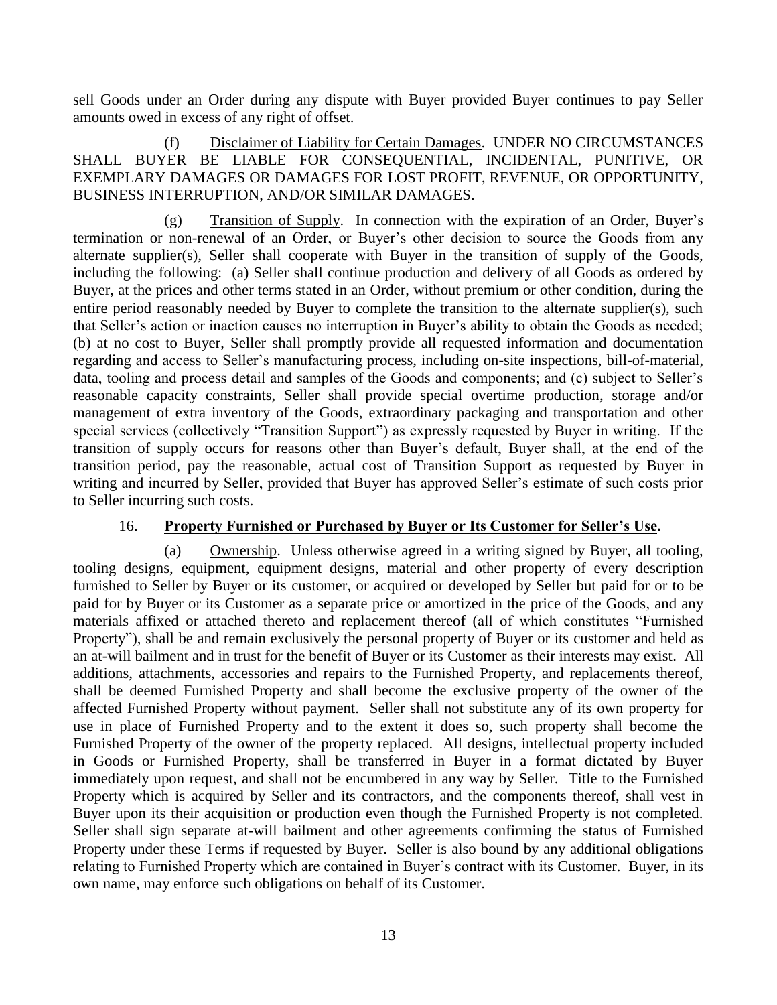sell Goods under an Order during any dispute with Buyer provided Buyer continues to pay Seller amounts owed in excess of any right of offset.

<span id="page-16-0"></span>(f) Disclaimer of Liability for Certain Damages. UNDER NO CIRCUMSTANCES SHALL BUYER BE LIABLE FOR CONSEQUENTIAL, INCIDENTAL, PUNITIVE, OR EXEMPLARY DAMAGES OR DAMAGES FOR LOST PROFIT, REVENUE, OR OPPORTUNITY, BUSINESS INTERRUPTION, AND/OR SIMILAR DAMAGES.

<span id="page-16-1"></span>(g) Transition of Supply. In connection with the expiration of an Order, Buyer's termination or non-renewal of an Order, or Buyer's other decision to source the Goods from any alternate supplier(s), Seller shall cooperate with Buyer in the transition of supply of the Goods, including the following: (a) Seller shall continue production and delivery of all Goods as ordered by Buyer, at the prices and other terms stated in an Order, without premium or other condition, during the entire period reasonably needed by Buyer to complete the transition to the alternate supplier(s), such that Seller's action or inaction causes no interruption in Buyer's ability to obtain the Goods as needed; (b) at no cost to Buyer, Seller shall promptly provide all requested information and documentation regarding and access to Seller's manufacturing process, including on-site inspections, bill-of-material, data, tooling and process detail and samples of the Goods and components; and (c) subject to Seller's reasonable capacity constraints, Seller shall provide special overtime production, storage and/or management of extra inventory of the Goods, extraordinary packaging and transportation and other special services (collectively "Transition Support") as expressly requested by Buyer in writing. If the transition of supply occurs for reasons other than Buyer's default, Buyer shall, at the end of the transition period, pay the reasonable, actual cost of Transition Support as requested by Buyer in writing and incurred by Seller, provided that Buyer has approved Seller's estimate of such costs prior to Seller incurring such costs.

### 16. **Property Furnished or Purchased by Buyer or Its Customer for Seller's Use.**

<span id="page-16-3"></span><span id="page-16-2"></span>(a) Ownership. Unless otherwise agreed in a writing signed by Buyer, all tooling, tooling designs, equipment, equipment designs, material and other property of every description furnished to Seller by Buyer or its customer, or acquired or developed by Seller but paid for or to be paid for by Buyer or its Customer as a separate price or amortized in the price of the Goods, and any materials affixed or attached thereto and replacement thereof (all of which constitutes "Furnished Property"), shall be and remain exclusively the personal property of Buyer or its customer and held as an at-will bailment and in trust for the benefit of Buyer or its Customer as their interests may exist. All additions, attachments, accessories and repairs to the Furnished Property, and replacements thereof, shall be deemed Furnished Property and shall become the exclusive property of the owner of the affected Furnished Property without payment. Seller shall not substitute any of its own property for use in place of Furnished Property and to the extent it does so, such property shall become the Furnished Property of the owner of the property replaced. All designs, intellectual property included in Goods or Furnished Property, shall be transferred in Buyer in a format dictated by Buyer immediately upon request, and shall not be encumbered in any way by Seller. Title to the Furnished Property which is acquired by Seller and its contractors, and the components thereof, shall vest in Buyer upon its their acquisition or production even though the Furnished Property is not completed. Seller shall sign separate at-will bailment and other agreements confirming the status of Furnished Property under these Terms if requested by Buyer. Seller is also bound by any additional obligations relating to Furnished Property which are contained in Buyer's contract with its Customer. Buyer, in its own name, may enforce such obligations on behalf of its Customer.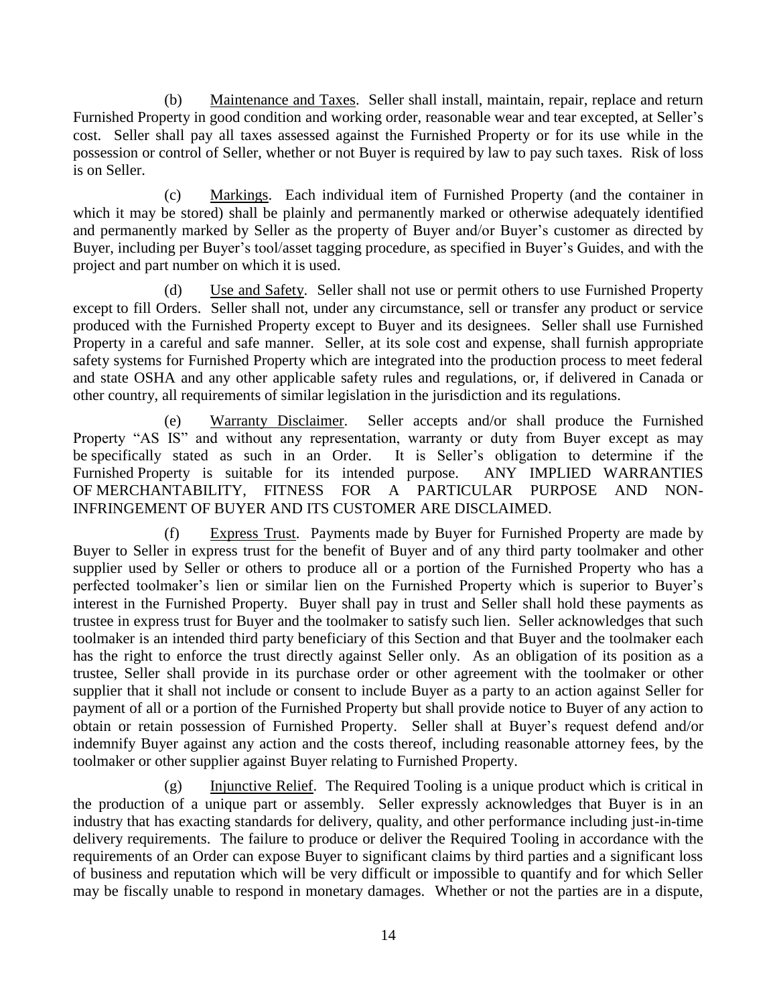<span id="page-17-0"></span>(b) Maintenance and Taxes. Seller shall install, maintain, repair, replace and return Furnished Property in good condition and working order, reasonable wear and tear excepted, at Seller's cost. Seller shall pay all taxes assessed against the Furnished Property or for its use while in the possession or control of Seller, whether or not Buyer is required by law to pay such taxes. Risk of loss is on Seller.

<span id="page-17-1"></span>(c) Markings. Each individual item of Furnished Property (and the container in which it may be stored) shall be plainly and permanently marked or otherwise adequately identified and permanently marked by Seller as the property of Buyer and/or Buyer's customer as directed by Buyer, including per Buyer's tool/asset tagging procedure, as specified in Buyer's Guides, and with the project and part number on which it is used.

<span id="page-17-2"></span>(d) Use and Safety. Seller shall not use or permit others to use Furnished Property except to fill Orders. Seller shall not, under any circumstance, sell or transfer any product or service produced with the Furnished Property except to Buyer and its designees. Seller shall use Furnished Property in a careful and safe manner. Seller, at its sole cost and expense, shall furnish appropriate safety systems for Furnished Property which are integrated into the production process to meet federal and state OSHA and any other applicable safety rules and regulations, or, if delivered in Canada or other country, all requirements of similar legislation in the jurisdiction and its regulations.

<span id="page-17-3"></span>(e) Warranty Disclaimer. Seller accepts and/or shall produce the Furnished Property "AS IS" and without any representation, warranty or duty from Buyer except as may be specifically stated as such in an Order. It is Seller's obligation to determine if the Furnished Property is suitable for its intended purpose. ANY IMPLIED WARRANTIES OF MERCHANTABILITY, FITNESS FOR A PARTICULAR PURPOSE AND NON-INFRINGEMENT OF BUYER AND ITS CUSTOMER ARE DISCLAIMED.

<span id="page-17-4"></span>(f) Express Trust. Payments made by Buyer for Furnished Property are made by Buyer to Seller in express trust for the benefit of Buyer and of any third party toolmaker and other supplier used by Seller or others to produce all or a portion of the Furnished Property who has a perfected toolmaker's lien or similar lien on the Furnished Property which is superior to Buyer's interest in the Furnished Property. Buyer shall pay in trust and Seller shall hold these payments as trustee in express trust for Buyer and the toolmaker to satisfy such lien. Seller acknowledges that such toolmaker is an intended third party beneficiary of this Section and that Buyer and the toolmaker each has the right to enforce the trust directly against Seller only. As an obligation of its position as a trustee, Seller shall provide in its purchase order or other agreement with the toolmaker or other supplier that it shall not include or consent to include Buyer as a party to an action against Seller for payment of all or a portion of the Furnished Property but shall provide notice to Buyer of any action to obtain or retain possession of Furnished Property. Seller shall at Buyer's request defend and/or indemnify Buyer against any action and the costs thereof, including reasonable attorney fees, by the toolmaker or other supplier against Buyer relating to Furnished Property.

<span id="page-17-5"></span>(g) Injunctive Relief. The Required Tooling is a unique product which is critical in the production of a unique part or assembly. Seller expressly acknowledges that Buyer is in an industry that has exacting standards for delivery, quality, and other performance including just-in-time delivery requirements. The failure to produce or deliver the Required Tooling in accordance with the requirements of an Order can expose Buyer to significant claims by third parties and a significant loss of business and reputation which will be very difficult or impossible to quantify and for which Seller may be fiscally unable to respond in monetary damages. Whether or not the parties are in a dispute,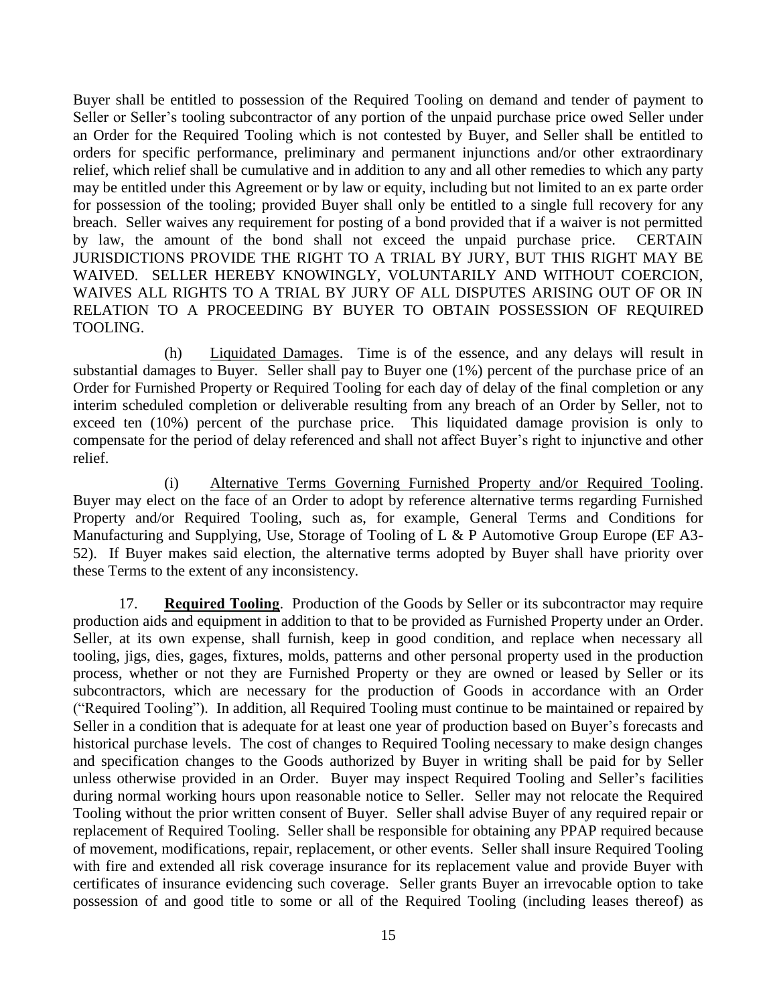Buyer shall be entitled to possession of the Required Tooling on demand and tender of payment to Seller or Seller's tooling subcontractor of any portion of the unpaid purchase price owed Seller under an Order for the Required Tooling which is not contested by Buyer, and Seller shall be entitled to orders for specific performance, preliminary and permanent injunctions and/or other extraordinary relief, which relief shall be cumulative and in addition to any and all other remedies to which any party may be entitled under this Agreement or by law or equity, including but not limited to an ex parte order for possession of the tooling; provided Buyer shall only be entitled to a single full recovery for any breach. Seller waives any requirement for posting of a bond provided that if a waiver is not permitted by law, the amount of the bond shall not exceed the unpaid purchase price. CERTAIN JURISDICTIONS PROVIDE THE RIGHT TO A TRIAL BY JURY, BUT THIS RIGHT MAY BE WAIVED. SELLER HEREBY KNOWINGLY, VOLUNTARILY AND WITHOUT COERCION, WAIVES ALL RIGHTS TO A TRIAL BY JURY OF ALL DISPUTES ARISING OUT OF OR IN RELATION TO A PROCEEDING BY BUYER TO OBTAIN POSSESSION OF REQUIRED TOOLING.

<span id="page-18-0"></span>(h) Liquidated Damages. Time is of the essence, and any delays will result in substantial damages to Buyer. Seller shall pay to Buyer one (1%) percent of the purchase price of an Order for Furnished Property or Required Tooling for each day of delay of the final completion or any interim scheduled completion or deliverable resulting from any breach of an Order by Seller, not to exceed ten (10%) percent of the purchase price. This liquidated damage provision is only to compensate for the period of delay referenced and shall not affect Buyer's right to injunctive and other relief.

<span id="page-18-1"></span>(i) Alternative Terms Governing Furnished Property and/or Required Tooling. Buyer may elect on the face of an Order to adopt by reference alternative terms regarding Furnished Property and/or Required Tooling, such as, for example, General Terms and Conditions for Manufacturing and Supplying, Use, Storage of Tooling of L & P Automotive Group Europe (EF A3- 52). If Buyer makes said election, the alternative terms adopted by Buyer shall have priority over these Terms to the extent of any inconsistency.

<span id="page-18-2"></span>17. **Required Tooling**. Production of the Goods by Seller or its subcontractor may require production aids and equipment in addition to that to be provided as Furnished Property under an Order. Seller, at its own expense, shall furnish, keep in good condition, and replace when necessary all tooling, jigs, dies, gages, fixtures, molds, patterns and other personal property used in the production process, whether or not they are Furnished Property or they are owned or leased by Seller or its subcontractors, which are necessary for the production of Goods in accordance with an Order ("Required Tooling"). In addition, all Required Tooling must continue to be maintained or repaired by Seller in a condition that is adequate for at least one year of production based on Buyer's forecasts and historical purchase levels. The cost of changes to Required Tooling necessary to make design changes and specification changes to the Goods authorized by Buyer in writing shall be paid for by Seller unless otherwise provided in an Order. Buyer may inspect Required Tooling and Seller's facilities during normal working hours upon reasonable notice to Seller. Seller may not relocate the Required Tooling without the prior written consent of Buyer. Seller shall advise Buyer of any required repair or replacement of Required Tooling. Seller shall be responsible for obtaining any PPAP required because of movement, modifications, repair, replacement, or other events. Seller shall insure Required Tooling with fire and extended all risk coverage insurance for its replacement value and provide Buyer with certificates of insurance evidencing such coverage. Seller grants Buyer an irrevocable option to take possession of and good title to some or all of the Required Tooling (including leases thereof) as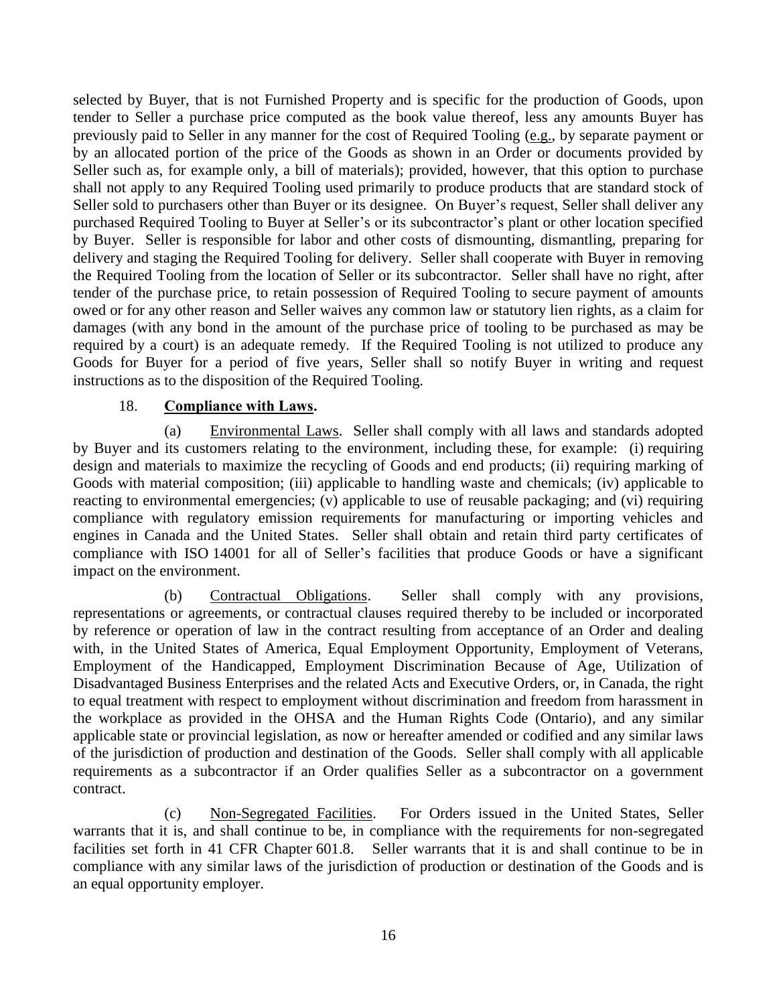selected by Buyer, that is not Furnished Property and is specific for the production of Goods, upon tender to Seller a purchase price computed as the book value thereof, less any amounts Buyer has previously paid to Seller in any manner for the cost of Required Tooling (e.g., by separate payment or by an allocated portion of the price of the Goods as shown in an Order or documents provided by Seller such as, for example only, a bill of materials); provided, however, that this option to purchase shall not apply to any Required Tooling used primarily to produce products that are standard stock of Seller sold to purchasers other than Buyer or its designee. On Buyer's request, Seller shall deliver any purchased Required Tooling to Buyer at Seller's or its subcontractor's plant or other location specified by Buyer. Seller is responsible for labor and other costs of dismounting, dismantling, preparing for delivery and staging the Required Tooling for delivery. Seller shall cooperate with Buyer in removing the Required Tooling from the location of Seller or its subcontractor. Seller shall have no right, after tender of the purchase price, to retain possession of Required Tooling to secure payment of amounts owed or for any other reason and Seller waives any common law or statutory lien rights, as a claim for damages (with any bond in the amount of the purchase price of tooling to be purchased as may be required by a court) is an adequate remedy. If the Required Tooling is not utilized to produce any Goods for Buyer for a period of five years, Seller shall so notify Buyer in writing and request instructions as to the disposition of the Required Tooling.

#### 18. **Compliance with Laws.**

<span id="page-19-1"></span><span id="page-19-0"></span>(a) Environmental Laws. Seller shall comply with all laws and standards adopted by Buyer and its customers relating to the environment, including these, for example: (i) requiring design and materials to maximize the recycling of Goods and end products; (ii) requiring marking of Goods with material composition; (iii) applicable to handling waste and chemicals; (iv) applicable to reacting to environmental emergencies; (v) applicable to use of reusable packaging; and (vi) requiring compliance with regulatory emission requirements for manufacturing or importing vehicles and engines in Canada and the United States. Seller shall obtain and retain third party certificates of compliance with ISO 14001 for all of Seller's facilities that produce Goods or have a significant impact on the environment.

<span id="page-19-2"></span>(b) Contractual Obligations. Seller shall comply with any provisions, representations or agreements, or contractual clauses required thereby to be included or incorporated by reference or operation of law in the contract resulting from acceptance of an Order and dealing with, in the United States of America, Equal Employment Opportunity, Employment of Veterans, Employment of the Handicapped, Employment Discrimination Because of Age, Utilization of Disadvantaged Business Enterprises and the related Acts and Executive Orders, or, in Canada, the right to equal treatment with respect to employment without discrimination and freedom from harassment in the workplace as provided in the OHSA and the Human Rights Code (Ontario), and any similar applicable state or provincial legislation, as now or hereafter amended or codified and any similar laws of the jurisdiction of production and destination of the Goods. Seller shall comply with all applicable requirements as a subcontractor if an Order qualifies Seller as a subcontractor on a government contract.

<span id="page-19-3"></span>(c) Non-Segregated Facilities. For Orders issued in the United States, Seller warrants that it is, and shall continue to be, in compliance with the requirements for non-segregated facilities set forth in 41 CFR Chapter 601.8. Seller warrants that it is and shall continue to be in compliance with any similar laws of the jurisdiction of production or destination of the Goods and is an equal opportunity employer.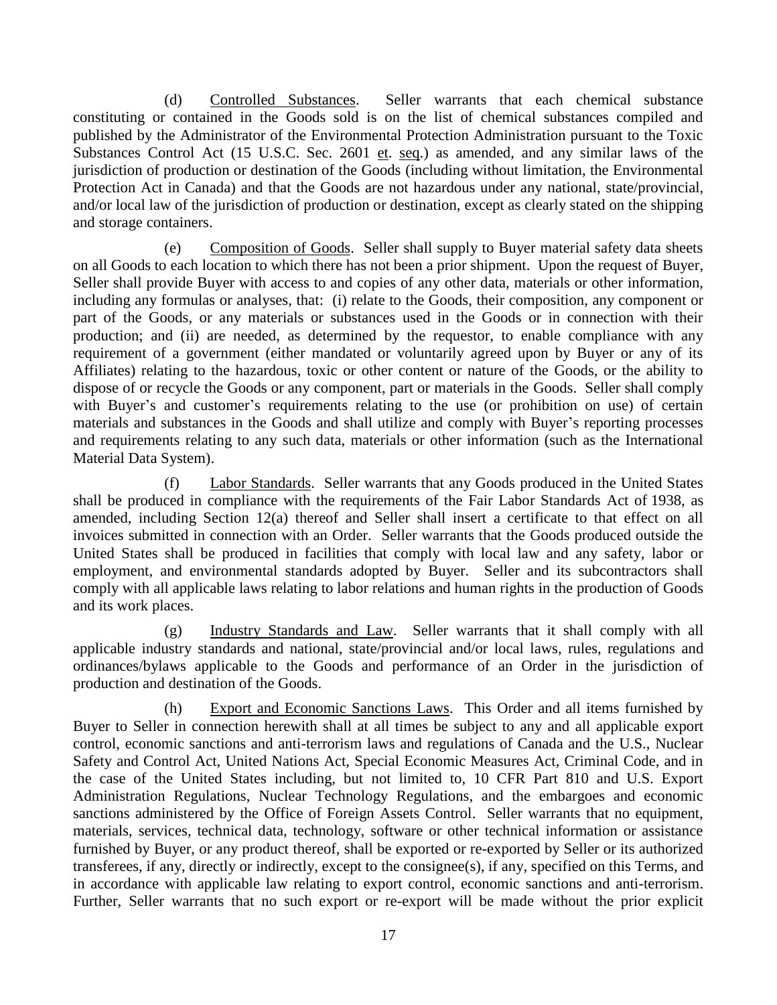<span id="page-20-0"></span>(d) Controlled Substances. Seller warrants that each chemical substance constituting or contained in the Goods sold is on the list of chemical substances compiled and published by the Administrator of the Environmental Protection Administration pursuant to the Toxic Substances Control Act (15 U.S.C. Sec. 2601 et. seq.) as amended, and any similar laws of the jurisdiction of production or destination of the Goods (including without limitation, the Environmental Protection Act in Canada) and that the Goods are not hazardous under any national, state/provincial, and/or local law of the jurisdiction of production or destination, except as clearly stated on the shipping and storage containers.

<span id="page-20-1"></span>(e) Composition of Goods. Seller shall supply to Buyer material safety data sheets on all Goods to each location to which there has not been a prior shipment. Upon the request of Buyer, Seller shall provide Buyer with access to and copies of any other data, materials or other information, including any formulas or analyses, that: (i) relate to the Goods, their composition, any component or part of the Goods, or any materials or substances used in the Goods or in connection with their production; and (ii) are needed, as determined by the requestor, to enable compliance with any requirement of a government (either mandated or voluntarily agreed upon by Buyer or any of its Affiliates) relating to the hazardous, toxic or other content or nature of the Goods, or the ability to dispose of or recycle the Goods or any component, part or materials in the Goods. Seller shall comply with Buyer's and customer's requirements relating to the use (or prohibition on use) of certain materials and substances in the Goods and shall utilize and comply with Buyer's reporting processes and requirements relating to any such data, materials or other information (such as the International Material Data System).

<span id="page-20-2"></span>(f) Labor Standards. Seller warrants that any Goods produced in the United States shall be produced in compliance with the requirements of the Fair Labor Standards Act of 1938, as amended, including Section 12(a) thereof and Seller shall insert a certificate to that effect on all invoices submitted in connection with an Order. Seller warrants that the Goods produced outside the United States shall be produced in facilities that comply with local law and any safety, labor or employment, and environmental standards adopted by Buyer. Seller and its subcontractors shall comply with all applicable laws relating to labor relations and human rights in the production of Goods and its work places.

<span id="page-20-3"></span>(g) Industry Standards and Law. Seller warrants that it shall comply with all applicable industry standards and national, state/provincial and/or local laws, rules, regulations and ordinances/bylaws applicable to the Goods and performance of an Order in the jurisdiction of production and destination of the Goods.

<span id="page-20-4"></span>(h) Export and Economic Sanctions Laws. This Order and all items furnished by Buyer to Seller in connection herewith shall at all times be subject to any and all applicable export control, economic sanctions and anti-terrorism laws and regulations of Canada and the U.S., Nuclear Safety and Control Act, United Nations Act, Special Economic Measures Act, Criminal Code, and in the case of the United States including, but not limited to, 10 CFR Part 810 and U.S. Export Administration Regulations, Nuclear Technology Regulations, and the embargoes and economic sanctions administered by the Office of Foreign Assets Control. Seller warrants that no equipment, materials, services, technical data, technology, software or other technical information or assistance furnished by Buyer, or any product thereof, shall be exported or re-exported by Seller or its authorized transferees, if any, directly or indirectly, except to the consignee(s), if any, specified on this Terms, and in accordance with applicable law relating to export control, economic sanctions and anti-terrorism. Further, Seller warrants that no such export or re-export will be made without the prior explicit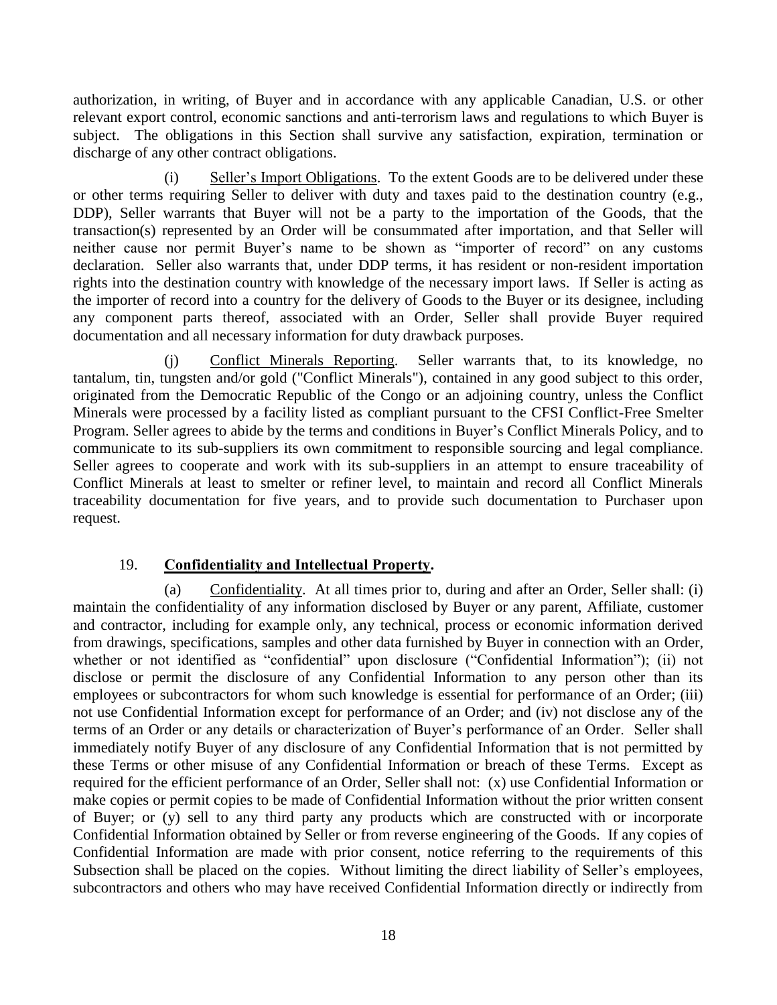authorization, in writing, of Buyer and in accordance with any applicable Canadian, U.S. or other relevant export control, economic sanctions and anti-terrorism laws and regulations to which Buyer is subject. The obligations in this Section shall survive any satisfaction, expiration, termination or discharge of any other contract obligations.

<span id="page-21-0"></span>(i) Seller's Import Obligations. To the extent Goods are to be delivered under these or other terms requiring Seller to deliver with duty and taxes paid to the destination country (e.g., DDP), Seller warrants that Buyer will not be a party to the importation of the Goods, that the transaction(s) represented by an Order will be consummated after importation, and that Seller will neither cause nor permit Buyer's name to be shown as "importer of record" on any customs declaration. Seller also warrants that, under DDP terms, it has resident or non-resident importation rights into the destination country with knowledge of the necessary import laws. If Seller is acting as the importer of record into a country for the delivery of Goods to the Buyer or its designee, including any component parts thereof, associated with an Order, Seller shall provide Buyer required documentation and all necessary information for duty drawback purposes.

<span id="page-21-1"></span>(j) Conflict Minerals Reporting. Seller warrants that, to its knowledge, no tantalum, tin, tungsten and/or gold ("Conflict Minerals"), contained in any good subject to this order, originated from the Democratic Republic of the Congo or an adjoining country, unless the Conflict Minerals were processed by a facility listed as compliant pursuant to the CFSI Conflict-Free Smelter Program. Seller agrees to abide by the terms and conditions in Buyer's Conflict Minerals Policy, and to communicate to its sub-suppliers its own commitment to responsible sourcing and legal compliance. Seller agrees to cooperate and work with its sub-suppliers in an attempt to ensure traceability of Conflict Minerals at least to smelter or refiner level, to maintain and record all Conflict Minerals traceability documentation for five years, and to provide such documentation to Purchaser upon request.

### 19. **Confidentiality and Intellectual Property.**

<span id="page-21-3"></span><span id="page-21-2"></span>(a) Confidentiality. At all times prior to, during and after an Order, Seller shall: (i) maintain the confidentiality of any information disclosed by Buyer or any parent, Affiliate, customer and contractor, including for example only, any technical, process or economic information derived from drawings, specifications, samples and other data furnished by Buyer in connection with an Order, whether or not identified as "confidential" upon disclosure ("Confidential Information"); (ii) not disclose or permit the disclosure of any Confidential Information to any person other than its employees or subcontractors for whom such knowledge is essential for performance of an Order; (iii) not use Confidential Information except for performance of an Order; and (iv) not disclose any of the terms of an Order or any details or characterization of Buyer's performance of an Order. Seller shall immediately notify Buyer of any disclosure of any Confidential Information that is not permitted by these Terms or other misuse of any Confidential Information or breach of these Terms. Except as required for the efficient performance of an Order, Seller shall not: (x) use Confidential Information or make copies or permit copies to be made of Confidential Information without the prior written consent of Buyer; or (y) sell to any third party any products which are constructed with or incorporate Confidential Information obtained by Seller or from reverse engineering of the Goods. If any copies of Confidential Information are made with prior consent, notice referring to the requirements of this Subsection shall be placed on the copies. Without limiting the direct liability of Seller's employees, subcontractors and others who may have received Confidential Information directly or indirectly from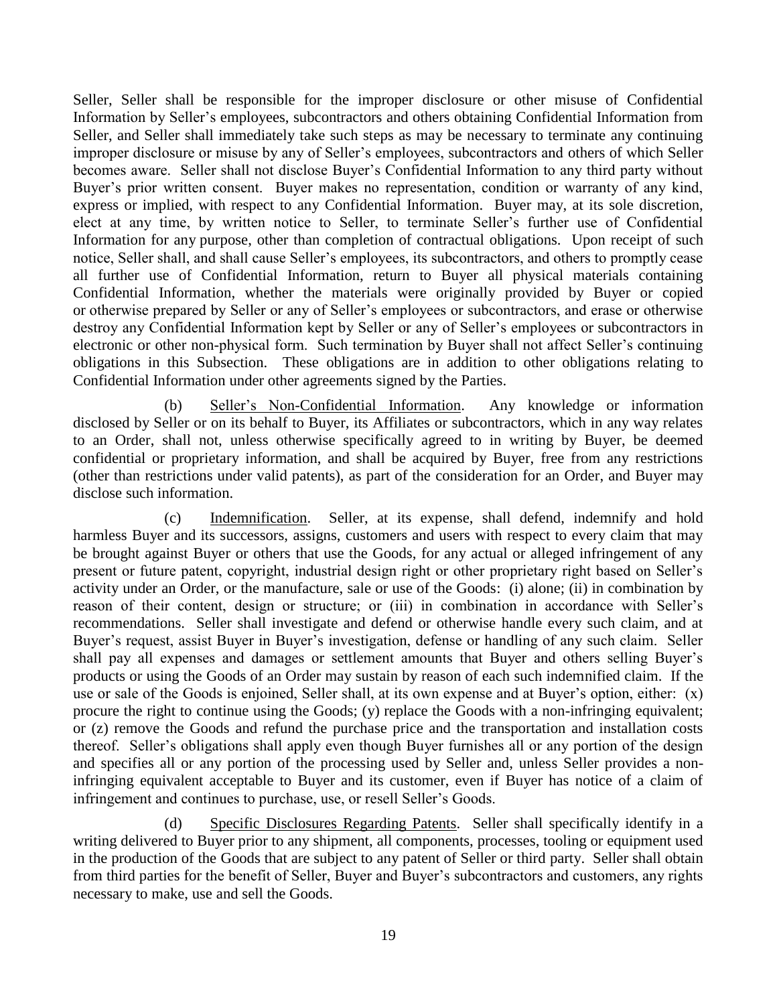Seller, Seller shall be responsible for the improper disclosure or other misuse of Confidential Information by Seller's employees, subcontractors and others obtaining Confidential Information from Seller, and Seller shall immediately take such steps as may be necessary to terminate any continuing improper disclosure or misuse by any of Seller's employees, subcontractors and others of which Seller becomes aware. Seller shall not disclose Buyer's Confidential Information to any third party without Buyer's prior written consent. Buyer makes no representation, condition or warranty of any kind, express or implied, with respect to any Confidential Information. Buyer may, at its sole discretion, elect at any time, by written notice to Seller, to terminate Seller's further use of Confidential Information for any purpose, other than completion of contractual obligations. Upon receipt of such notice, Seller shall, and shall cause Seller's employees, its subcontractors, and others to promptly cease all further use of Confidential Information, return to Buyer all physical materials containing Confidential Information, whether the materials were originally provided by Buyer or copied or otherwise prepared by Seller or any of Seller's employees or subcontractors, and erase or otherwise destroy any Confidential Information kept by Seller or any of Seller's employees or subcontractors in electronic or other non-physical form. Such termination by Buyer shall not affect Seller's continuing obligations in this Subsection. These obligations are in addition to other obligations relating to Confidential Information under other agreements signed by the Parties.

<span id="page-22-0"></span>(b) Seller's Non-Confidential Information. Any knowledge or information disclosed by Seller or on its behalf to Buyer, its Affiliates or subcontractors, which in any way relates to an Order, shall not, unless otherwise specifically agreed to in writing by Buyer, be deemed confidential or proprietary information, and shall be acquired by Buyer, free from any restrictions (other than restrictions under valid patents), as part of the consideration for an Order, and Buyer may disclose such information.

<span id="page-22-1"></span>(c) Indemnification. Seller, at its expense, shall defend, indemnify and hold harmless Buyer and its successors, assigns, customers and users with respect to every claim that may be brought against Buyer or others that use the Goods, for any actual or alleged infringement of any present or future patent, copyright, industrial design right or other proprietary right based on Seller's activity under an Order, or the manufacture, sale or use of the Goods: (i) alone; (ii) in combination by reason of their content, design or structure; or (iii) in combination in accordance with Seller's recommendations. Seller shall investigate and defend or otherwise handle every such claim, and at Buyer's request, assist Buyer in Buyer's investigation, defense or handling of any such claim. Seller shall pay all expenses and damages or settlement amounts that Buyer and others selling Buyer's products or using the Goods of an Order may sustain by reason of each such indemnified claim. If the use or sale of the Goods is enjoined, Seller shall, at its own expense and at Buyer's option, either: (x) procure the right to continue using the Goods; (y) replace the Goods with a non-infringing equivalent; or (z) remove the Goods and refund the purchase price and the transportation and installation costs thereof. Seller's obligations shall apply even though Buyer furnishes all or any portion of the design and specifies all or any portion of the processing used by Seller and, unless Seller provides a noninfringing equivalent acceptable to Buyer and its customer, even if Buyer has notice of a claim of infringement and continues to purchase, use, or resell Seller's Goods.

<span id="page-22-2"></span>(d) Specific Disclosures Regarding Patents. Seller shall specifically identify in a writing delivered to Buyer prior to any shipment, all components, processes, tooling or equipment used in the production of the Goods that are subject to any patent of Seller or third party. Seller shall obtain from third parties for the benefit of Seller, Buyer and Buyer's subcontractors and customers, any rights necessary to make, use and sell the Goods.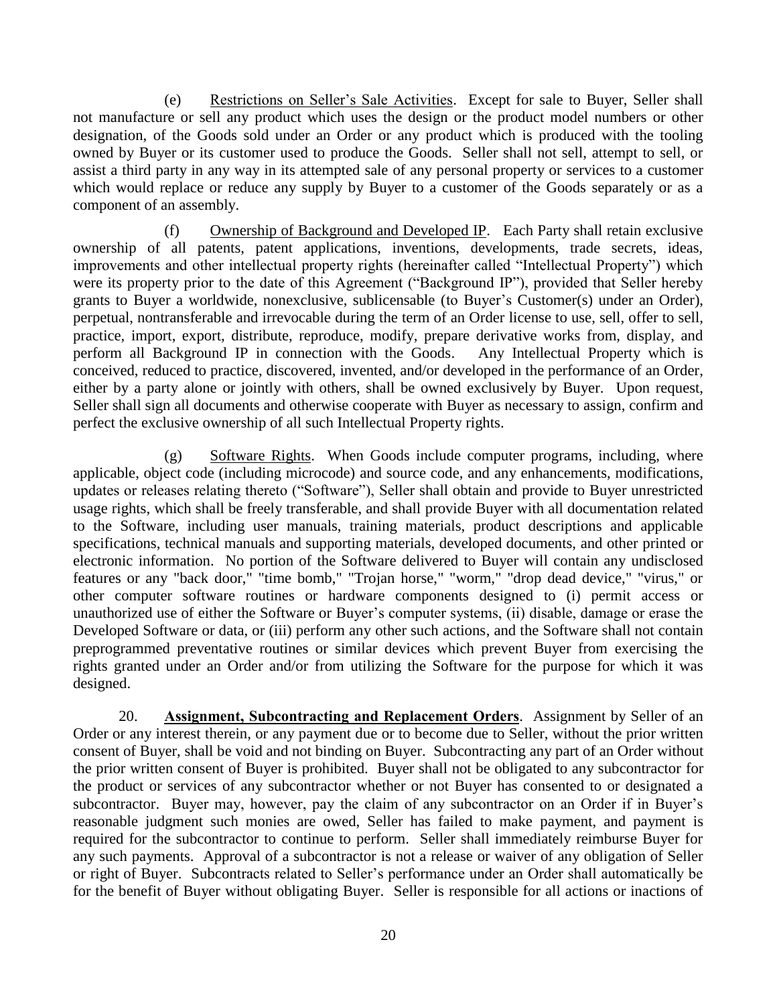<span id="page-23-0"></span>(e) Restrictions on Seller's Sale Activities. Except for sale to Buyer, Seller shall not manufacture or sell any product which uses the design or the product model numbers or other designation, of the Goods sold under an Order or any product which is produced with the tooling owned by Buyer or its customer used to produce the Goods. Seller shall not sell, attempt to sell, or assist a third party in any way in its attempted sale of any personal property or services to a customer which would replace or reduce any supply by Buyer to a customer of the Goods separately or as a component of an assembly.

<span id="page-23-1"></span>(f) Ownership of Background and Developed IP. Each Party shall retain exclusive ownership of all patents, patent applications, inventions, developments, trade secrets, ideas, improvements and other intellectual property rights (hereinafter called "Intellectual Property") which were its property prior to the date of this Agreement ("Background IP"), provided that Seller hereby grants to Buyer a worldwide, nonexclusive, sublicensable (to Buyer's Customer(s) under an Order), perpetual, nontransferable and irrevocable during the term of an Order license to use, sell, offer to sell, practice, import, export, distribute, reproduce, modify, prepare derivative works from, display, and perform all Background IP in connection with the Goods. Any Intellectual Property which is conceived, reduced to practice, discovered, invented, and/or developed in the performance of an Order, either by a party alone or jointly with others, shall be owned exclusively by Buyer. Upon request, Seller shall sign all documents and otherwise cooperate with Buyer as necessary to assign, confirm and perfect the exclusive ownership of all such Intellectual Property rights.

<span id="page-23-2"></span>(g) Software Rights. When Goods include computer programs, including, where applicable, object code (including microcode) and source code, and any enhancements, modifications, updates or releases relating thereto ("Software"), Seller shall obtain and provide to Buyer unrestricted usage rights, which shall be freely transferable, and shall provide Buyer with all documentation related to the Software, including user manuals, training materials, product descriptions and applicable specifications, technical manuals and supporting materials, developed documents, and other printed or electronic information. No portion of the Software delivered to Buyer will contain any undisclosed features or any "back door," "time bomb," "Trojan horse," "worm," "drop dead device," "virus," or other computer software routines or hardware components designed to (i) permit access or unauthorized use of either the Software or Buyer's computer systems, (ii) disable, damage or erase the Developed Software or data, or (iii) perform any other such actions, and the Software shall not contain preprogrammed preventative routines or similar devices which prevent Buyer from exercising the rights granted under an Order and/or from utilizing the Software for the purpose for which it was designed.

<span id="page-23-3"></span>20. **Assignment, Subcontracting and Replacement Orders**. Assignment by Seller of an Order or any interest therein, or any payment due or to become due to Seller, without the prior written consent of Buyer, shall be void and not binding on Buyer. Subcontracting any part of an Order without the prior written consent of Buyer is prohibited. Buyer shall not be obligated to any subcontractor for the product or services of any subcontractor whether or not Buyer has consented to or designated a subcontractor. Buyer may, however, pay the claim of any subcontractor on an Order if in Buyer's reasonable judgment such monies are owed, Seller has failed to make payment, and payment is required for the subcontractor to continue to perform. Seller shall immediately reimburse Buyer for any such payments. Approval of a subcontractor is not a release or waiver of any obligation of Seller or right of Buyer. Subcontracts related to Seller's performance under an Order shall automatically be for the benefit of Buyer without obligating Buyer. Seller is responsible for all actions or inactions of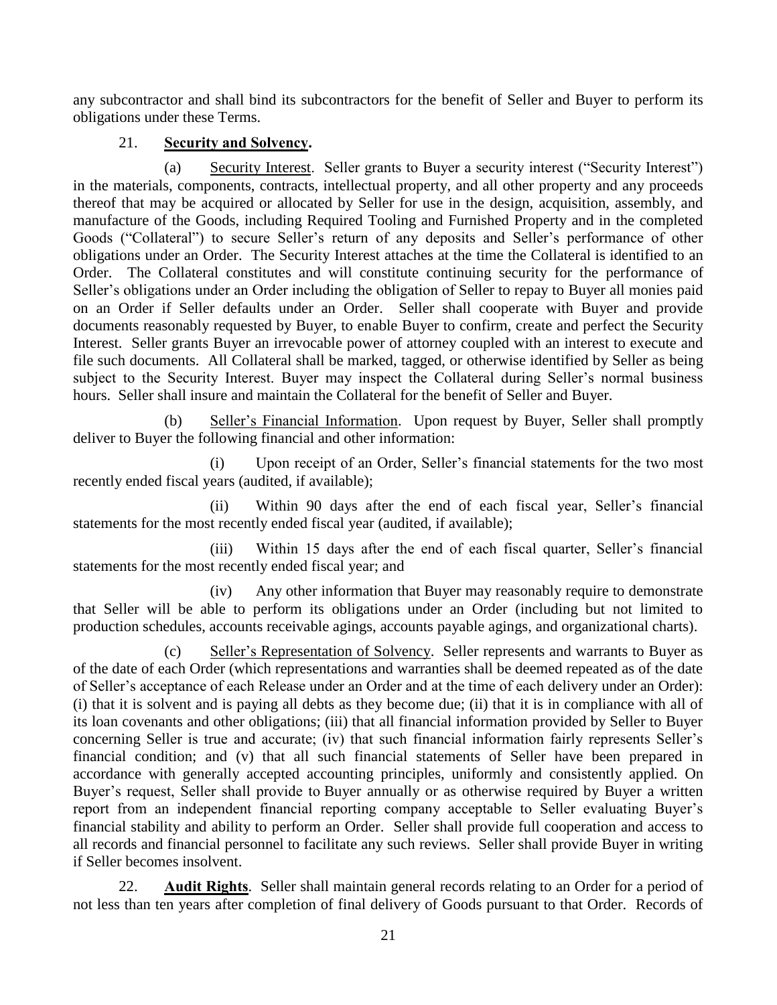any subcontractor and shall bind its subcontractors for the benefit of Seller and Buyer to perform its obligations under these Terms.

## 21. **Security and Solvency.**

<span id="page-24-1"></span><span id="page-24-0"></span>(a) Security Interest. Seller grants to Buyer a security interest ("Security Interest") in the materials, components, contracts, intellectual property, and all other property and any proceeds thereof that may be acquired or allocated by Seller for use in the design, acquisition, assembly, and manufacture of the Goods, including Required Tooling and Furnished Property and in the completed Goods ("Collateral") to secure Seller's return of any deposits and Seller's performance of other obligations under an Order. The Security Interest attaches at the time the Collateral is identified to an Order. The Collateral constitutes and will constitute continuing security for the performance of Seller's obligations under an Order including the obligation of Seller to repay to Buyer all monies paid on an Order if Seller defaults under an Order. Seller shall cooperate with Buyer and provide documents reasonably requested by Buyer, to enable Buyer to confirm, create and perfect the Security Interest. Seller grants Buyer an irrevocable power of attorney coupled with an interest to execute and file such documents. All Collateral shall be marked, tagged, or otherwise identified by Seller as being subject to the Security Interest. Buyer may inspect the Collateral during Seller's normal business hours. Seller shall insure and maintain the Collateral for the benefit of Seller and Buyer.

<span id="page-24-2"></span>(b) Seller's Financial Information. Upon request by Buyer, Seller shall promptly deliver to Buyer the following financial and other information:

(i) Upon receipt of an Order, Seller's financial statements for the two most recently ended fiscal years (audited, if available);

(ii) Within 90 days after the end of each fiscal year, Seller's financial statements for the most recently ended fiscal year (audited, if available);

(iii) Within 15 days after the end of each fiscal quarter, Seller's financial statements for the most recently ended fiscal year; and

(iv) Any other information that Buyer may reasonably require to demonstrate that Seller will be able to perform its obligations under an Order (including but not limited to production schedules, accounts receivable agings, accounts payable agings, and organizational charts).

<span id="page-24-3"></span>(c) Seller's Representation of Solvency. Seller represents and warrants to Buyer as of the date of each Order (which representations and warranties shall be deemed repeated as of the date of Seller's acceptance of each Release under an Order and at the time of each delivery under an Order): (i) that it is solvent and is paying all debts as they become due; (ii) that it is in compliance with all of its loan covenants and other obligations; (iii) that all financial information provided by Seller to Buyer concerning Seller is true and accurate; (iv) that such financial information fairly represents Seller's financial condition; and (v) that all such financial statements of Seller have been prepared in accordance with generally accepted accounting principles, uniformly and consistently applied. On Buyer's request, Seller shall provide to Buyer annually or as otherwise required by Buyer a written report from an independent financial reporting company acceptable to Seller evaluating Buyer's financial stability and ability to perform an Order. Seller shall provide full cooperation and access to all records and financial personnel to facilitate any such reviews. Seller shall provide Buyer in writing if Seller becomes insolvent.

<span id="page-24-4"></span>22. **Audit Rights**. Seller shall maintain general records relating to an Order for a period of not less than ten years after completion of final delivery of Goods pursuant to that Order. Records of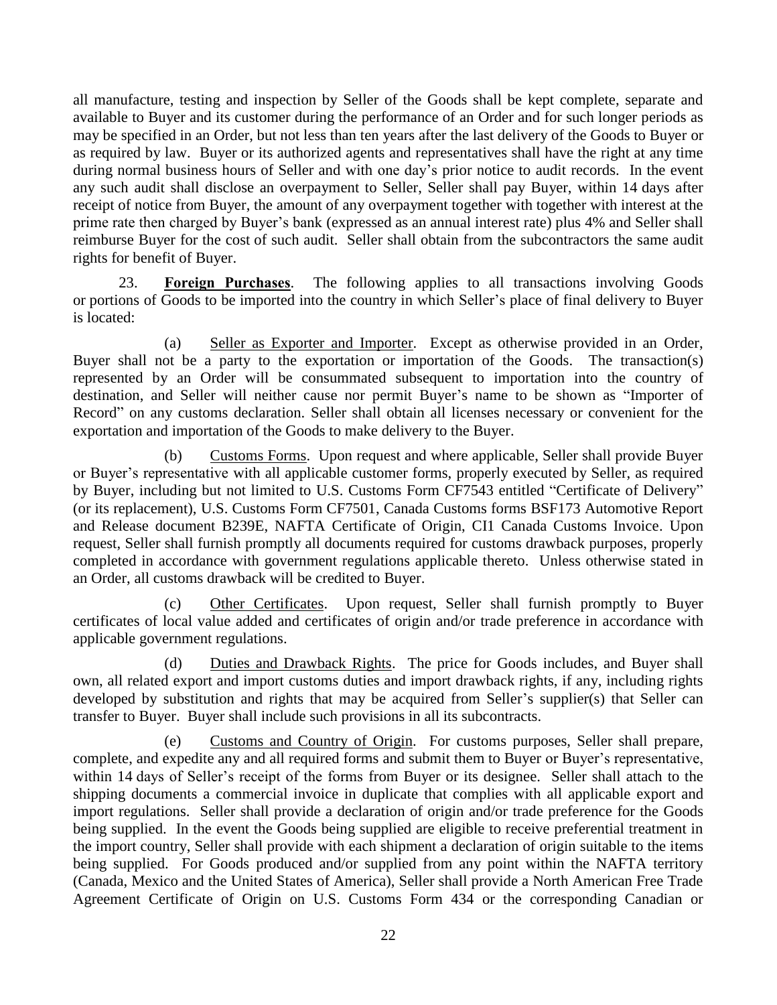all manufacture, testing and inspection by Seller of the Goods shall be kept complete, separate and available to Buyer and its customer during the performance of an Order and for such longer periods as may be specified in an Order, but not less than ten years after the last delivery of the Goods to Buyer or as required by law. Buyer or its authorized agents and representatives shall have the right at any time during normal business hours of Seller and with one day's prior notice to audit records. In the event any such audit shall disclose an overpayment to Seller, Seller shall pay Buyer, within 14 days after receipt of notice from Buyer, the amount of any overpayment together with together with interest at the prime rate then charged by Buyer's bank (expressed as an annual interest rate) plus 4% and Seller shall reimburse Buyer for the cost of such audit. Seller shall obtain from the subcontractors the same audit rights for benefit of Buyer.

<span id="page-25-0"></span>23. **Foreign Purchases**. The following applies to all transactions involving Goods or portions of Goods to be imported into the country in which Seller's place of final delivery to Buyer is located:

<span id="page-25-1"></span>(a) Seller as Exporter and Importer. Except as otherwise provided in an Order, Buyer shall not be a party to the exportation or importation of the Goods. The transaction(s) represented by an Order will be consummated subsequent to importation into the country of destination, and Seller will neither cause nor permit Buyer's name to be shown as "Importer of Record" on any customs declaration. Seller shall obtain all licenses necessary or convenient for the exportation and importation of the Goods to make delivery to the Buyer.

<span id="page-25-2"></span>(b) Customs Forms. Upon request and where applicable, Seller shall provide Buyer or Buyer's representative with all applicable customer forms, properly executed by Seller, as required by Buyer, including but not limited to U.S. Customs Form CF7543 entitled "Certificate of Delivery" (or its replacement), U.S. Customs Form CF7501, Canada Customs forms BSF173 Automotive Report and Release document B239E, NAFTA Certificate of Origin, CI1 Canada Customs Invoice. Upon request, Seller shall furnish promptly all documents required for customs drawback purposes, properly completed in accordance with government regulations applicable thereto. Unless otherwise stated in an Order, all customs drawback will be credited to Buyer.

<span id="page-25-3"></span>(c) Other Certificates. Upon request, Seller shall furnish promptly to Buyer certificates of local value added and certificates of origin and/or trade preference in accordance with applicable government regulations.

<span id="page-25-4"></span>(d) Duties and Drawback Rights. The price for Goods includes, and Buyer shall own, all related export and import customs duties and import drawback rights, if any, including rights developed by substitution and rights that may be acquired from Seller's supplier(s) that Seller can transfer to Buyer. Buyer shall include such provisions in all its subcontracts.

<span id="page-25-5"></span>(e) Customs and Country of Origin. For customs purposes, Seller shall prepare, complete, and expedite any and all required forms and submit them to Buyer or Buyer's representative, within 14 days of Seller's receipt of the forms from Buyer or its designee. Seller shall attach to the shipping documents a commercial invoice in duplicate that complies with all applicable export and import regulations. Seller shall provide a declaration of origin and/or trade preference for the Goods being supplied. In the event the Goods being supplied are eligible to receive preferential treatment in the import country, Seller shall provide with each shipment a declaration of origin suitable to the items being supplied. For Goods produced and/or supplied from any point within the NAFTA territory (Canada, Mexico and the United States of America), Seller shall provide a North American Free Trade Agreement Certificate of Origin on U.S. Customs Form 434 or the corresponding Canadian or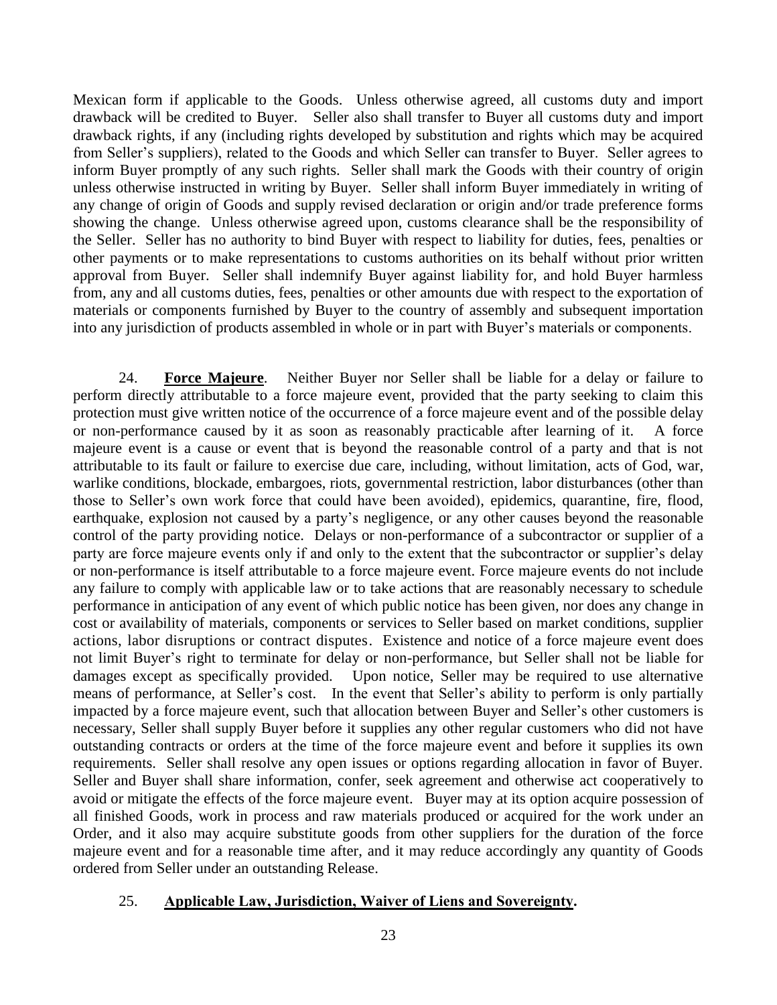Mexican form if applicable to the Goods. Unless otherwise agreed, all customs duty and import drawback will be credited to Buyer. Seller also shall transfer to Buyer all customs duty and import drawback rights, if any (including rights developed by substitution and rights which may be acquired from Seller's suppliers), related to the Goods and which Seller can transfer to Buyer. Seller agrees to inform Buyer promptly of any such rights. Seller shall mark the Goods with their country of origin unless otherwise instructed in writing by Buyer. Seller shall inform Buyer immediately in writing of any change of origin of Goods and supply revised declaration or origin and/or trade preference forms showing the change. Unless otherwise agreed upon, customs clearance shall be the responsibility of the Seller. Seller has no authority to bind Buyer with respect to liability for duties, fees, penalties or other payments or to make representations to customs authorities on its behalf without prior written approval from Buyer. Seller shall indemnify Buyer against liability for, and hold Buyer harmless from, any and all customs duties, fees, penalties or other amounts due with respect to the exportation of materials or components furnished by Buyer to the country of assembly and subsequent importation into any jurisdiction of products assembled in whole or in part with Buyer's materials or components.

<span id="page-26-0"></span>24. **Force Majeure**. Neither Buyer nor Seller shall be liable for a delay or failure to perform directly attributable to a force majeure event, provided that the party seeking to claim this protection must give written notice of the occurrence of a force majeure event and of the possible delay or non-performance caused by it as soon as reasonably practicable after learning of it. A force majeure event is a cause or event that is beyond the reasonable control of a party and that is not attributable to its fault or failure to exercise due care, including, without limitation, acts of God, war, warlike conditions, blockade, embargoes, riots, governmental restriction, labor disturbances (other than those to Seller's own work force that could have been avoided), epidemics, quarantine, fire, flood, earthquake, explosion not caused by a party's negligence, or any other causes beyond the reasonable control of the party providing notice. Delays or non-performance of a subcontractor or supplier of a party are force majeure events only if and only to the extent that the subcontractor or supplier's delay or non-performance is itself attributable to a force majeure event. Force majeure events do not include any failure to comply with applicable law or to take actions that are reasonably necessary to schedule performance in anticipation of any event of which public notice has been given, nor does any change in cost or availability of materials, components or services to Seller based on market conditions, supplier actions, labor disruptions or contract disputes. Existence and notice of a force majeure event does not limit Buyer's right to terminate for delay or non-performance, but Seller shall not be liable for damages except as specifically provided. Upon notice, Seller may be required to use alternative means of performance, at Seller's cost. In the event that Seller's ability to perform is only partially impacted by a force majeure event, such that allocation between Buyer and Seller's other customers is necessary, Seller shall supply Buyer before it supplies any other regular customers who did not have outstanding contracts or orders at the time of the force majeure event and before it supplies its own requirements. Seller shall resolve any open issues or options regarding allocation in favor of Buyer. Seller and Buyer shall share information, confer, seek agreement and otherwise act cooperatively to avoid or mitigate the effects of the force majeure event. Buyer may at its option acquire possession of all finished Goods, work in process and raw materials produced or acquired for the work under an Order, and it also may acquire substitute goods from other suppliers for the duration of the force majeure event and for a reasonable time after, and it may reduce accordingly any quantity of Goods ordered from Seller under an outstanding Release.

#### <span id="page-26-1"></span>25. **Applicable Law, Jurisdiction, Waiver of Liens and Sovereignty.**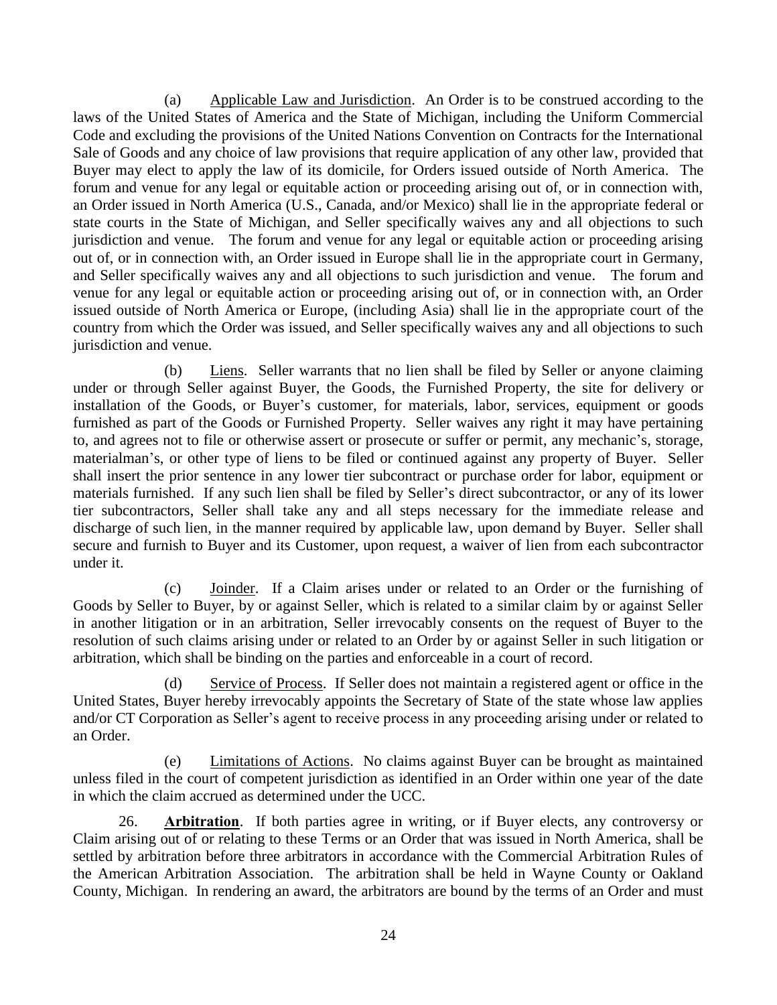<span id="page-27-0"></span>(a) Applicable Law and Jurisdiction. An Order is to be construed according to the laws of the United States of America and the State of Michigan, including the Uniform Commercial Code and excluding the provisions of the United Nations Convention on Contracts for the International Sale of Goods and any choice of law provisions that require application of any other law, provided that Buyer may elect to apply the law of its domicile, for Orders issued outside of North America. The forum and venue for any legal or equitable action or proceeding arising out of, or in connection with, an Order issued in North America (U.S., Canada, and/or Mexico) shall lie in the appropriate federal or state courts in the State of Michigan, and Seller specifically waives any and all objections to such jurisdiction and venue. The forum and venue for any legal or equitable action or proceeding arising out of, or in connection with, an Order issued in Europe shall lie in the appropriate court in Germany, and Seller specifically waives any and all objections to such jurisdiction and venue. The forum and venue for any legal or equitable action or proceeding arising out of, or in connection with, an Order issued outside of North America or Europe, (including Asia) shall lie in the appropriate court of the country from which the Order was issued, and Seller specifically waives any and all objections to such jurisdiction and venue.

<span id="page-27-1"></span>(b) Liens. Seller warrants that no lien shall be filed by Seller or anyone claiming under or through Seller against Buyer, the Goods, the Furnished Property, the site for delivery or installation of the Goods, or Buyer's customer, for materials, labor, services, equipment or goods furnished as part of the Goods or Furnished Property. Seller waives any right it may have pertaining to, and agrees not to file or otherwise assert or prosecute or suffer or permit, any mechanic's, storage, materialman's, or other type of liens to be filed or continued against any property of Buyer. Seller shall insert the prior sentence in any lower tier subcontract or purchase order for labor, equipment or materials furnished. If any such lien shall be filed by Seller's direct subcontractor, or any of its lower tier subcontractors, Seller shall take any and all steps necessary for the immediate release and discharge of such lien, in the manner required by applicable law, upon demand by Buyer. Seller shall secure and furnish to Buyer and its Customer, upon request, a waiver of lien from each subcontractor under it.

<span id="page-27-2"></span>(c) Joinder. If a Claim arises under or related to an Order or the furnishing of Goods by Seller to Buyer, by or against Seller, which is related to a similar claim by or against Seller in another litigation or in an arbitration, Seller irrevocably consents on the request of Buyer to the resolution of such claims arising under or related to an Order by or against Seller in such litigation or arbitration, which shall be binding on the parties and enforceable in a court of record.

<span id="page-27-3"></span>(d) Service of Process. If Seller does not maintain a registered agent or office in the United States, Buyer hereby irrevocably appoints the Secretary of State of the state whose law applies and/or CT Corporation as Seller's agent to receive process in any proceeding arising under or related to an Order.

<span id="page-27-4"></span>(e) Limitations of Actions. No claims against Buyer can be brought as maintained unless filed in the court of competent jurisdiction as identified in an Order within one year of the date in which the claim accrued as determined under the UCC.

<span id="page-27-5"></span>26. **Arbitration**. If both parties agree in writing, or if Buyer elects, any controversy or Claim arising out of or relating to these Terms or an Order that was issued in North America, shall be settled by arbitration before three arbitrators in accordance with the Commercial Arbitration Rules of the American Arbitration Association. The arbitration shall be held in Wayne County or Oakland County, Michigan. In rendering an award, the arbitrators are bound by the terms of an Order and must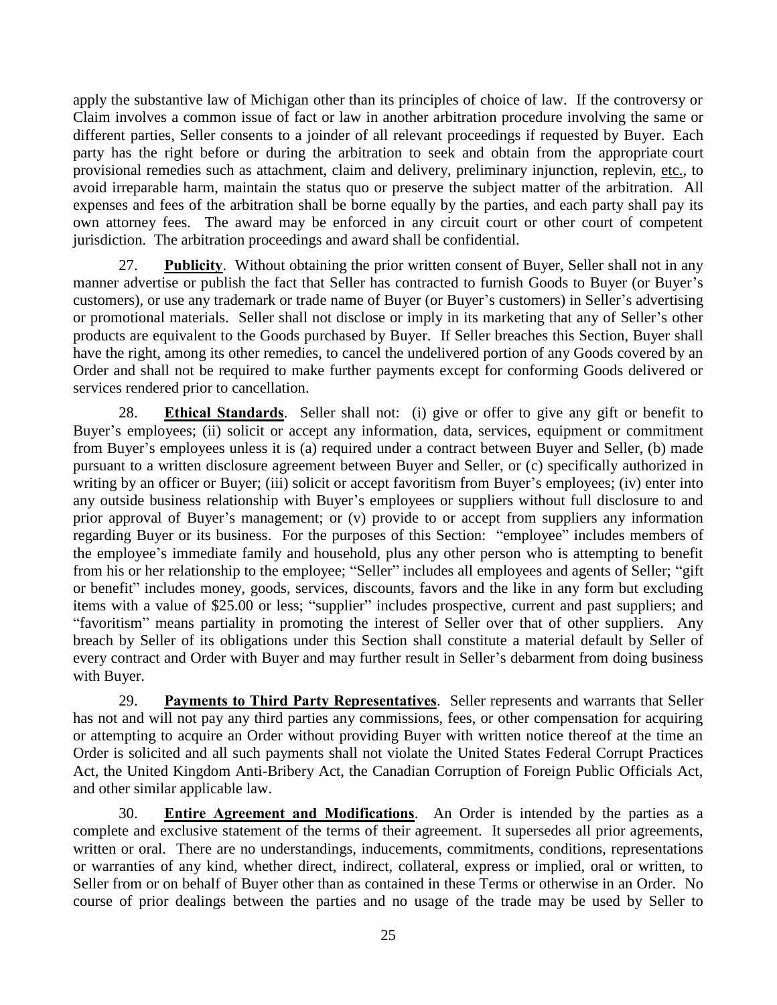apply the substantive law of Michigan other than its principles of choice of law. If the controversy or Claim involves a common issue of fact or law in another arbitration procedure involving the same or different parties, Seller consents to a joinder of all relevant proceedings if requested by Buyer. Each party has the right before or during the arbitration to seek and obtain from the appropriate court provisional remedies such as attachment, claim and delivery, preliminary injunction, replevin, etc., to avoid irreparable harm, maintain the status quo or preserve the subject matter of the arbitration. All expenses and fees of the arbitration shall be borne equally by the parties, and each party shall pay its own attorney fees. The award may be enforced in any circuit court or other court of competent jurisdiction. The arbitration proceedings and award shall be confidential.

<span id="page-28-0"></span>27. **Publicity**. Without obtaining the prior written consent of Buyer, Seller shall not in any manner advertise or publish the fact that Seller has contracted to furnish Goods to Buyer (or Buyer's customers), or use any trademark or trade name of Buyer (or Buyer's customers) in Seller's advertising or promotional materials. Seller shall not disclose or imply in its marketing that any of Seller's other products are equivalent to the Goods purchased by Buyer. If Seller breaches this Section, Buyer shall have the right, among its other remedies, to cancel the undelivered portion of any Goods covered by an Order and shall not be required to make further payments except for conforming Goods delivered or services rendered prior to cancellation.

<span id="page-28-1"></span>28. **Ethical Standards**. Seller shall not: (i) give or offer to give any gift or benefit to Buyer's employees; (ii) solicit or accept any information, data, services, equipment or commitment from Buyer's employees unless it is (a) required under a contract between Buyer and Seller, (b) made pursuant to a written disclosure agreement between Buyer and Seller, or (c) specifically authorized in writing by an officer or Buyer; (iii) solicit or accept favoritism from Buyer's employees; (iv) enter into any outside business relationship with Buyer's employees or suppliers without full disclosure to and prior approval of Buyer's management; or (v) provide to or accept from suppliers any information regarding Buyer or its business. For the purposes of this Section: "employee" includes members of the employee's immediate family and household, plus any other person who is attempting to benefit from his or her relationship to the employee; "Seller" includes all employees and agents of Seller; "gift or benefit" includes money, goods, services, discounts, favors and the like in any form but excluding items with a value of \$25.00 or less; "supplier" includes prospective, current and past suppliers; and "favoritism" means partiality in promoting the interest of Seller over that of other suppliers. Any breach by Seller of its obligations under this Section shall constitute a material default by Seller of every contract and Order with Buyer and may further result in Seller's debarment from doing business with Buyer.

<span id="page-28-2"></span>29. **Payments to Third Party Representatives**. Seller represents and warrants that Seller has not and will not pay any third parties any commissions, fees, or other compensation for acquiring or attempting to acquire an Order without providing Buyer with written notice thereof at the time an Order is solicited and all such payments shall not violate the United States Federal Corrupt Practices Act, the United Kingdom Anti-Bribery Act, the Canadian Corruption of Foreign Public Officials Act, and other similar applicable law.

<span id="page-28-3"></span>30. **Entire Agreement and Modifications**. An Order is intended by the parties as a complete and exclusive statement of the terms of their agreement. It supersedes all prior agreements, written or oral. There are no understandings, inducements, commitments, conditions, representations or warranties of any kind, whether direct, indirect, collateral, express or implied, oral or written, to Seller from or on behalf of Buyer other than as contained in these Terms or otherwise in an Order. No course of prior dealings between the parties and no usage of the trade may be used by Seller to